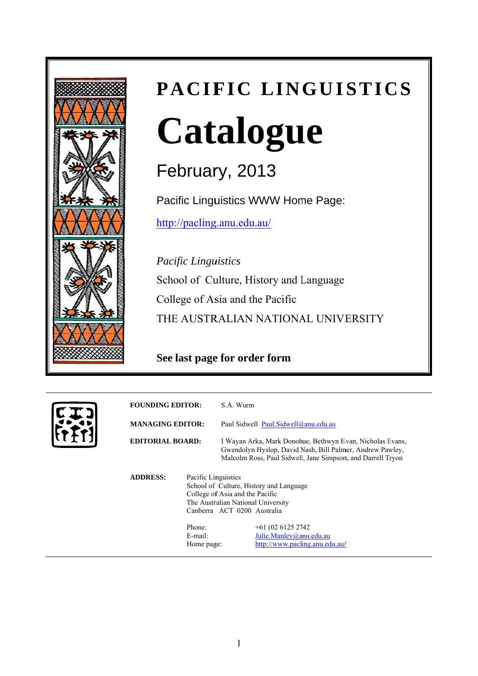

# **PACIFIC LINGUISTICS**  $$

# February, 2013

Pacific Linguistics WWW Home Page:

http://pacling.anu.edu.au/

**Pacific Linguistics** School of Culture, History and Language College of Asia and the Pacific THE AUSTRALIAN NATIONAL UNIVERSITY

# See last page for order form



| <b>FOUNDING EDITOR:</b> |                                 | S.A. Wurm                                                      |                                                                                                                                                                                       |  |
|-------------------------|---------------------------------|----------------------------------------------------------------|---------------------------------------------------------------------------------------------------------------------------------------------------------------------------------------|--|
| <b>MANAGING EDITOR:</b> |                                 |                                                                | Paul Sidwell Paul.Sidwell@anu.edu.au                                                                                                                                                  |  |
| <b>EDITORIAL BOARD:</b> |                                 |                                                                | I Wayan Arka, Mark Donohue, Bethwyn Evan, Nicholas Evans,<br>Gwendolyn Hyslop, David Nash, Bill Palmer, Andrew Pawley,<br>Malcolm Ross, Paul Sidwell, Jane Simpson, and Darrell Tryon |  |
| <b>ADDRESS:</b>         | Pacific Linguistics             | College of Asia and the Pacific<br>Canberra ACT 0200 Australia | School of Culture, History and Language<br>The Australian National University                                                                                                         |  |
|                         | Phone:<br>E-mail:<br>Home page: |                                                                | $+61(0261252742$<br>Julie.Manley@anu.edu.au<br>http://www.pacling.anu.edu.au/                                                                                                         |  |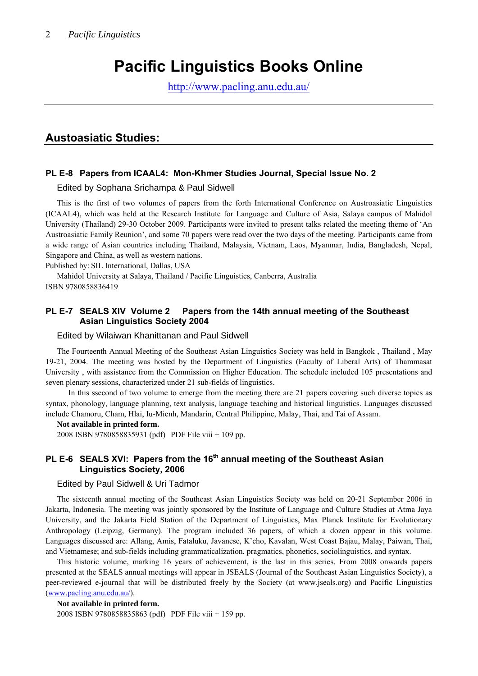# **Pacific Linguistics Books Online**

http://www.pacling.anu.edu.au/

#### **Austoasiatic Studies:**

#### **PL E-8 Papers from ICAAL4: Mon-Khmer Studies Journal, Special Issue No. 2**

Edited by Sophana Srichampa & Paul Sidwell

This is the first of two volumes of papers from the forth International Conference on Austroasiatic Linguistics (ICAAL4), which was held at the Research Institute for Language and Culture of Asia, Salaya campus of Mahidol University (Thailand) 29-30 October 2009. Participants were invited to present talks related the meeting theme of 'An Austroasiatic Family Reunion', and some 70 papers were read over the two days of the meeting. Participants came from a wide range of Asian countries including Thailand, Malaysia, Vietnam, Laos, Myanmar, India, Bangladesh, Nepal, Singapore and China, as well as western nations.

Published by: SIL International, Dallas, USA

Mahidol University at Salaya, Thailand / Pacific Linguistics, Canberra, Australia ISBN 9780858836419

#### PL E-7 SEALS XIV Volume 2 Papers from the 14th annual meeting of the Southeast **Asian Linguistics Society 2004**

#### Edited by Wilaiwan Khanittanan and Paul Sidwell

The Fourteenth Annual Meeting of the Southeast Asian Linguistics Society was held in Bangkok , Thailand , May 19-21, 2004. The meeting was hosted by the Department of Linguistics (Faculty of Liberal Arts) of Thammasat University , with assistance from the Commission on Higher Education. The schedule included 105 presentations and seven plenary sessions, characterized under 21 sub-fields of linguistics.

 In this ssecond of two volume to emerge from the meeting there are 21 papers covering such diverse topics as syntax, phonology, language planning, text analysis, language teaching and historical linguistics. Languages discussed include Chamoru, Cham, Hlai, Iu-Mienh, Mandarin, Central Philippine, Malay, Thai, and Tai of Assam.

#### **Not available in printed form.**

2008 ISBN 9780858835931 (pdf) PDF File viii + 109 pp.

#### PL E-6 SEALS XVI: Papers from the 16<sup>th</sup> annual meeting of the Southeast Asian **Linguistics Society, 2006**

#### Edited by Paul Sidwell & Uri Tadmor

The sixteenth annual meeting of the Southeast Asian Linguistics Society was held on 20-21 September 2006 in Jakarta, Indonesia. The meeting was jointly sponsored by the Institute of Language and Culture Studies at Atma Jaya University, and the Jakarta Field Station of the Department of Linguistics, Max Planck Institute for Evolutionary Anthropology (Leipzig, Germany). The program included 36 papers, of which a dozen appear in this volume. Languages discussed are: Allang, Amis, Fataluku, Javanese, K'cho, Kavalan, West Coast Bajau, Malay, Paiwan, Thai, and Vietnamese; and sub-fields including grammaticalization, pragmatics, phonetics, sociolinguistics, and syntax.

This historic volume, marking 16 years of achievement, is the last in this series. From 2008 onwards papers presented at the SEALS annual meetings will appear in JSEALS (Journal of the Southeast Asian Linguistics Society), a peer-reviewed e-journal that will be distributed freely by the Society (at www.jseals.org) and Pacific Linguistics (www.pacling.anu.edu.au/).

#### **Not available in printed form.**

2008 ISBN 9780858835863 (pdf) PDF File viii + 159 pp.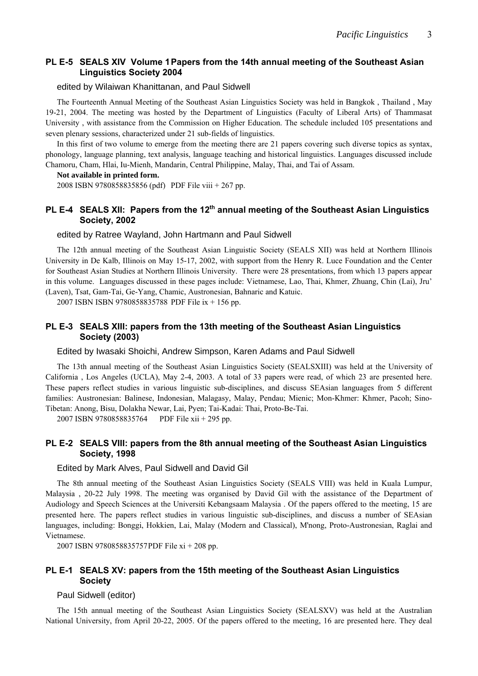#### **PL E-5 SEALS XIV Volume 1 Papers from the 14th annual meeting of the Southeast Asian Linguistics Society 2004**

#### edited by Wilaiwan Khanittanan, and Paul Sidwell

The Fourteenth Annual Meeting of the Southeast Asian Linguistics Society was held in Bangkok , Thailand , May 19-21, 2004. The meeting was hosted by the Department of Linguistics (Faculty of Liberal Arts) of Thammasat University , with assistance from the Commission on Higher Education. The schedule included 105 presentations and seven plenary sessions, characterized under 21 sub-fields of linguistics.

In this first of two volume to emerge from the meeting there are 21 papers covering such diverse topics as syntax, phonology, language planning, text analysis, language teaching and historical linguistics. Languages discussed include Chamoru, Cham, Hlai, Iu-Mienh, Mandarin, Central Philippine, Malay, Thai, and Tai of Assam.

#### **Not available in printed form.**

2008 ISBN 9780858835856 (pdf) PDF File viii + 267 pp.

#### PL E-4 SEALS XII: Papers from the 12<sup>th</sup> annual meeting of the Southeast Asian Linguistics **Society, 2002**

#### edited by Ratree Wayland, John Hartmann and Paul Sidwell

The 12th annual meeting of the Southeast Asian Linguistic Society (SEALS XII) was held at Northern Illinois University in De Kalb, Illinois on May 15-17, 2002, with support from the Henry R. Luce Foundation and the Center for Southeast Asian Studies at Northern Illinois University. There were 28 presentations, from which 13 papers appear in this volume. Languages discussed in these pages include: Vietnamese, Lao, Thai, Khmer, Zhuang, Chin (Lai), Jru' (Laven), Tsat, Gam-Tai, Ge-Yang, Chamic, Austronesian, Bahnaric and Katuic.

2007 ISBN ISBN 9780858835788 PDF File ix + 156 pp.

#### **PL E-3 SEALS XIII: papers from the 13th meeting of the Southeast Asian Linguistics Society (2003)**

#### Edited by Iwasaki Shoichi, Andrew Simpson, Karen Adams and Paul Sidwell

The 13th annual meeting of the Southeast Asian Linguistics Society (SEALSXIII) was held at the University of California , Los Angeles (UCLA), May 2-4, 2003. A total of 33 papers were read, of which 23 are presented here. These papers reflect studies in various linguistic sub-disciplines, and discuss SEAsian languages from 5 different families: Austronesian: Balinese, Indonesian, Malagasy, Malay, Pendau; Mienic; Mon-Khmer: Khmer, Pacoh; Sino-Tibetan: Anong, Bisu, Dolakha Newar, Lai, Pyen; Tai-Kadai: Thai, Proto-Be-Tai.

2007 ISBN 9780858835764 PDF File xii + 295 pp.

#### **PL E-2 SEALS VIII: papers from the 8th annual meeting of the Southeast Asian Linguistics Society, 1998**

#### Edited by Mark Alves, Paul Sidwell and David Gil

The 8th annual meeting of the Southeast Asian Linguistics Society (SEALS VIII) was held in Kuala Lumpur, Malaysia , 20-22 July 1998. The meeting was organised by David Gil with the assistance of the Department of Audiology and Speech Sciences at the Universiti Kebangsaam Malaysia . Of the papers offered to the meeting, 15 are presented here. The papers reflect studies in various linguistic sub-disciplines, and discuss a number of SEAsian languages, including: Bonggi, Hokkien, Lai, Malay (Modern and Classical), M'nong, Proto-Austronesian, Raglai and Vietnamese.

2007 ISBN 9780858835757 PDF File xi + 208 pp.

#### **PL E-1 SEALS XV: papers from the 15th meeting of the Southeast Asian Linguistics Society**

#### Paul Sidwell (editor)

The 15th annual meeting of the Southeast Asian Linguistics Society (SEALSXV) was held at the Australian National University, from April 20-22, 2005. Of the papers offered to the meeting, 16 are presented here. They deal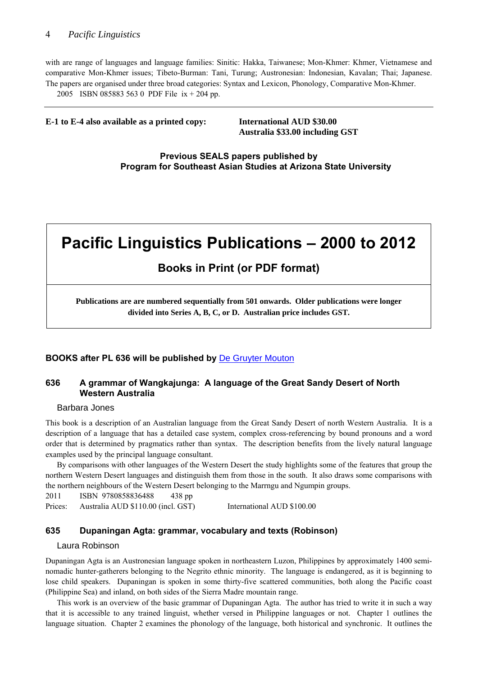with are range of languages and language families: Sinitic: Hakka, Taiwanese; Mon-Khmer: Khmer, Vietnamese and comparative Mon-Khmer issues; Tibeto-Burman: Tani, Turung; Austronesian: Indonesian, Kavalan; Thai; Japanese. The papers are organised under three broad categories: Syntax and Lexicon, Phonology, Comparative Mon-Khmer.

2005 ISBN 085883 563 0 PDF File ix + 204 pp.

**E-1 to E-4 also available as a printed copy: International AUD \$30.00** 

 **Australia \$33.00 including GST** 

**Previous SEALS papers published by Program for Southeast Asian Studies at Arizona State University** 

# **Pacific Linguistics Publications – 2000 to 2012**

#### **Books in Print (or PDF format)**

**Publications are are numbered sequentially from 501 onwards. Older publications were longer divided into Series A, B, C, or D. Australian price includes GST.** 

#### **BOOKS after PL 636 will be published by** De Gruyter Mouton

#### **636 A grammar of Wangkajunga: A language of the Great Sandy Desert of North Western Australia**

#### Barbara Jones

This book is a description of an Australian language from the Great Sandy Desert of north Western Australia. It is a description of a language that has a detailed case system, complex cross-referencing by bound pronouns and a word order that is determined by pragmatics rather than syntax. The description benefits from the lively natural language examples used by the principal language consultant.

By comparisons with other languages of the Western Desert the study highlights some of the features that group the northern Western Desert languages and distinguish them from those in the south. It also draws some comparisons with the northern neighbours of the Western Desert belonging to the Marrngu and Ngumpin groups.

2011 ISBN 9780858836488 438 pp

Prices: Australia AUD \$110.00 (incl. GST) International AUD \$100.00

#### **635 Dupaningan Agta: grammar, vocabulary and texts (Robinson)**

#### Laura Robinson

Dupaningan Agta is an Austronesian language spoken in northeastern Luzon, Philippines by approximately 1400 seminomadic hunter-gatherers belonging to the Negrito ethnic minority. The language is endangered, as it is beginning to lose child speakers. Dupaningan is spoken in some thirty-five scattered communities, both along the Pacific coast (Philippine Sea) and inland, on both sides of the Sierra Madre mountain range.

This work is an overview of the basic grammar of Dupaningan Agta. The author has tried to write it in such a way that it is accessible to any trained linguist, whether versed in Philippine languages or not. Chapter 1 outlines the language situation. Chapter 2 examines the phonology of the language, both historical and synchronic. It outlines the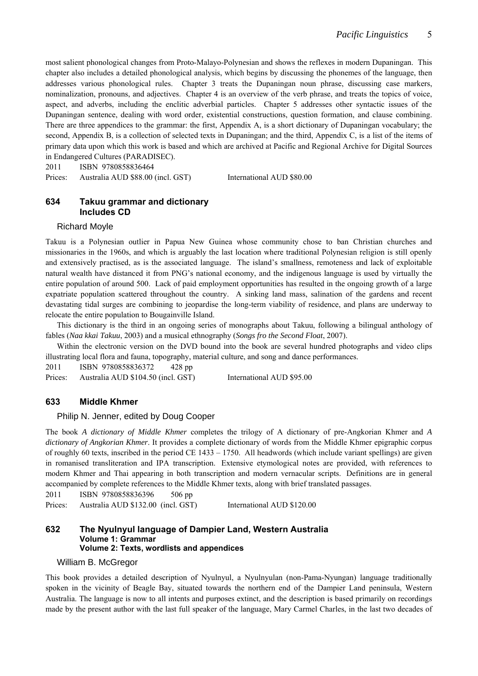most salient phonological changes from Proto-Malayo-Polynesian and shows the reflexes in modern Dupaningan. This chapter also includes a detailed phonological analysis, which begins by discussing the phonemes of the language, then addresses various phonological rules. Chapter 3 treats the Dupaningan noun phrase, discussing case markers, nominalization, pronouns, and adjectives. Chapter 4 is an overview of the verb phrase, and treats the topics of voice, aspect, and adverbs, including the enclitic adverbial particles. Chapter 5 addresses other syntactic issues of the Dupaningan sentence, dealing with word order, existential constructions, question formation, and clause combining. There are three appendices to the grammar: the first, Appendix A, is a short dictionary of Dupaningan vocabulary; the second, Appendix B, is a collection of selected texts in Dupaningan; and the third, Appendix C, is a list of the items of primary data upon which this work is based and which are archived at Pacific and Regional Archive for Digital Sources in Endangered Cultures (PARADISEC).

2011 ISBN 9780858836464

Prices: Australia AUD \$88.00 (incl. GST) International AUD \$80.00

#### **634 Takuu grammar and dictionary Includes CD**

#### Richard Moyle

Takuu is a Polynesian outlier in Papua New Guinea whose community chose to ban Christian churches and missionaries in the 1960s, and which is arguably the last location where traditional Polynesian religion is still openly and extensively practised, as is the associated language. The island's smallness, remoteness and lack of exploitable natural wealth have distanced it from PNG's national economy, and the indigenous language is used by virtually the entire population of around 500. Lack of paid employment opportunities has resulted in the ongoing growth of a large expatriate population scattered throughout the country. A sinking land mass, salination of the gardens and recent devastating tidal surges are combining to jeopardise the long-term viability of residence, and plans are underway to relocate the entire population to Bougainville Island.

This dictionary is the third in an ongoing series of monographs about Takuu, following a bilingual anthology of fables (*Naa kkai Takuu*, 2003) and a musical ethnography (*Songs fro the Second Float*, 2007).

Within the electronic version on the DVD bound into the book are several hundred photographs and video clips illustrating local flora and fauna, topography, material culture, and song and dance performances.

2011 **ISBN 9780858836372** 428 pp

Prices: Australia AUD \$104.50 (incl. GST) International AUD \$95.00

#### **633 Middle Khmer**

#### Philip N. Jenner, edited by Doug Cooper

The book *A dictionary of Middle Khmer* completes the trilogy of A dictionary of pre-Angkorian Khmer and *A dictionary of Angkorian Khmer*. It provides a complete dictionary of words from the Middle Khmer epigraphic corpus of roughly 60 texts, inscribed in the period CE 1433 – 1750. All headwords (which include variant spellings) are given in romanised transliteration and IPA transcription. Extensive etymological notes are provided, with references to modern Khmer and Thai appearing in both transcription and modern vernacular scripts. Definitions are in general accompanied by complete references to the Middle Khmer texts, along with brief translated passages.

2011 ISBN 9780858836396 506 pp

Prices: Australia AUD \$132.00 (incl. GST) International AUD \$120.00

#### **632 The Nyulnyul language of Dampier Land, Western Australia Volume 1: Grammar Volume 2: Texts, wordlists and appendices**

#### William B. McGregor

This book provides a detailed description of Nyulnyul, a Nyulnyulan (non-Pama-Nyungan) language traditionally spoken in the vicinity of Beagle Bay, situated towards the northern end of the Dampier Land peninsula, Western Australia. The language is now to all intents and purposes extinct, and the description is based primarily on recordings made by the present author with the last full speaker of the language, Mary Carmel Charles, in the last two decades of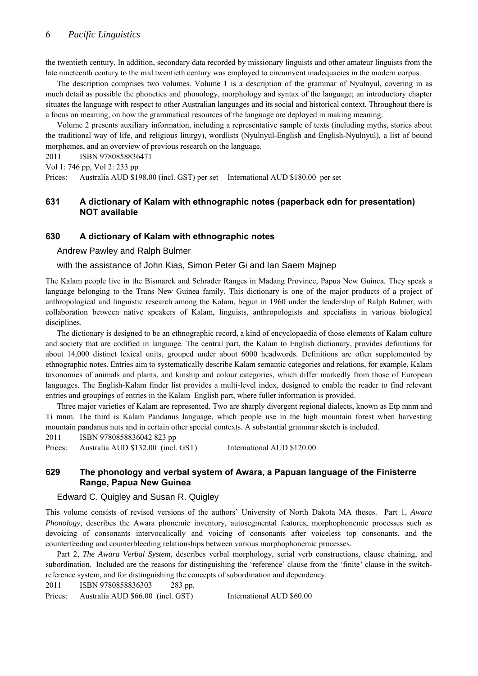the twentieth century. In addition, secondary data recorded by missionary linguists and other amateur linguists from the late nineteenth century to the mid twentieth century was employed to circumvent inadequacies in the modern corpus.

The description comprises two volumes. Volume 1 is a description of the grammar of Nyulnyul, covering in as much detail as possible the phonetics and phonology, morphology and syntax of the language; an introductory chapter situates the language with respect to other Australian languages and its social and historical context. Throughout there is a focus on meaning, on how the grammatical resources of the language are deployed in making meaning.

Volume 2 presents auxiliary information, including a representative sample of texts (including myths, stories about the traditional way of life, and religious liturgy), wordlists (Nyulnyul-English and English-Nyulnyul), a list of bound morphemes, and an overview of previous research on the language.

2011 ISBN 9780858836471

```
Vol 1: 746 pp, Vol 2: 233 pp
```
Prices: Australia AUD \$198.00 (incl. GST) per set International AUD \$180.00 per set

#### **631 A dictionary of Kalam with ethnographic notes (paperback edn for presentation) NOT available**

#### **630 A dictionary of Kalam with ethnographic notes**

#### Andrew Pawley and Ralph Bulmer

#### with the assistance of John Kias, Simon Peter Gi and Ian Saem Majnep

The Kalam people live in the Bismarck and Schrader Ranges in Madang Province, Papua New Guinea. They speak a language belonging to the Trans New Guinea family. This dictionary is one of the major products of a project of anthropological and linguistic research among the Kalam, begun in 1960 under the leadership of Ralph Bulmer, with collaboration between native speakers of Kalam, linguists, anthropologists and specialists in various biological disciplines.

The dictionary is designed to be an ethnographic record, a kind of encyclopaedia of those elements of Kalam culture and society that are codified in language. The central part, the Kalam to English dictionary, provides definitions for about 14,000 distinct lexical units, grouped under about 6000 headwords. Definitions are often supplemented by ethnographic notes. Entries aim to systematically describe Kalam semantic categories and relations, for example, Kalam taxonomies of animals and plants, and kinship and colour categories, which differ markedly from those of European languages. The English-Kalam finder list provides a multi-level index, designed to enable the reader to find relevant entries and groupings of entries in the Kalam–English part, where fuller information is provided.

Three major varieties of Kalam are represented. Two are sharply divergent regional dialects, known as Etp mnm and Ti mnm. The third is Kalam Pandanus language, which people use in the high mountain forest when harvesting mountain pandanus nuts and in certain other special contexts. A substantial grammar sketch is included.

2011 ISBN 9780858836042 823 pp

Prices: Australia AUD \$132.00 (incl. GST) International AUD \$120.00

#### **629 The phonology and verbal system of Awara, a Papuan language of the Finisterre Range, Papua New Guinea**

#### Edward C. Quigley and Susan R. Quigley

This volume consists of revised versions of the authors' University of North Dakota MA theses. Part 1, *Awara Phonology,* describes the Awara phonemic inventory, autosegmental features, morphophonemic processes such as devoicing of consonants intervocalically and voicing of consonants after voiceless top consonants, and the counterfeeding and counterbleeding relationships between various morphophonemic processes.

Part 2, *The Awara Verbal System,* describes verbal morphology, serial verb constructions, clause chaining, and subordination. Included are the reasons for distinguishing the 'reference' clause from the 'finite' clause in the switchreference system, and for distinguishing the concepts of subordination and dependency.

2011 **ISBN 9780858836303** 283 pp.

Prices: Australia AUD \$66.00 (incl. GST) International AUD \$60.00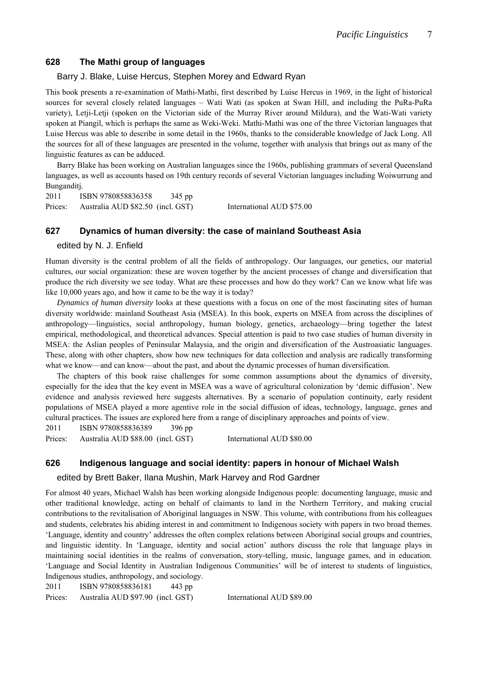#### **628 The Mathi group of languages**

#### Barry J. Blake, Luise Hercus, Stephen Morey and Edward Ryan

This book presents a re-examination of Mathi-Mathi, first described by Luise Hercus in 1969, in the light of historical sources for several closely related languages – Wati Wati (as spoken at Swan Hill, and including the PuRa-PuRa variety), Letji-Letji (spoken on the Victorian side of the Murray River around Mildura), and the Wati-Wati variety spoken at Piangil, which is perhaps the same as Weki-Weki. Mathi-Mathi was one of the three Victorian languages that Luise Hercus was able to describe in some detail in the 1960s, thanks to the considerable knowledge of Jack Long. All the sources for all of these languages are presented in the volume, together with analysis that brings out as many of the linguistic features as can be adduced.

Barry Blake has been working on Australian languages since the 1960s, publishing grammars of several Queensland languages, as well as accounts based on 19th century records of several Victorian languages including Woiwurrung and Bunganditj.

2011 ISBN 9780858836358 345 pp Prices: Australia AUD \$82.50 (incl. GST) International AUD \$75.00

#### **627 Dynamics of human diversity: the case of mainland Southeast Asia**

#### edited by N. J. Enfield

Human diversity is the central problem of all the fields of anthropology. Our languages, our genetics, our material cultures, our social organization: these are woven together by the ancient processes of change and diversification that produce the rich diversity we see today. What are these processes and how do they work? Can we know what life was like 10,000 years ago, and how it came to be the way it is today?

*Dynamics of human diversity* looks at these questions with a focus on one of the most fascinating sites of human diversity worldwide: mainland Southeast Asia (MSEA). In this book, experts on MSEA from across the disciplines of anthropology—linguistics, social anthropology, human biology, genetics, archaeology—bring together the latest empirical, methodological, and theoretical advances. Special attention is paid to two case studies of human diversity in MSEA: the Aslian peoples of Peninsular Malaysia, and the origin and diversification of the Austroasiatic languages. These, along with other chapters, show how new techniques for data collection and analysis are radically transforming what we know—and can know—about the past, and about the dynamic processes of human diversification.

The chapters of this book raise challenges for some common assumptions about the dynamics of diversity, especially for the idea that the key event in MSEA was a wave of agricultural colonization by 'demic diffusion'. New evidence and analysis reviewed here suggests alternatives. By a scenario of population continuity, early resident populations of MSEA played a more agentive role in the social diffusion of ideas, technology, language, genes and cultural practices. The issues are explored here from a range of disciplinary approaches and points of view.

2011 **ISBN 9780858836389** 396 pp

Prices: Australia AUD \$88.00 (incl. GST) International AUD \$80.00

#### **626 Indigenous language and social identity: papers in honour of Michael Walsh**

#### edited by Brett Baker, Ilana Mushin, Mark Harvey and Rod Gardner

For almost 40 years, Michael Walsh has been working alongside Indigenous people: documenting language, music and other traditional knowledge, acting on behalf of claimants to land in the Northern Territory, and making crucial contributions to the revitalisation of Aboriginal languages in NSW. This volume, with contributions from his colleagues and students, celebrates his abiding interest in and commitment to Indigenous society with papers in two broad themes. 'Language, identity and country' addresses the often complex relations between Aboriginal social groups and countries, and linguistic identity. In 'Language, identity and social action' authors discuss the role that language plays in maintaining social identities in the realms of conversation, story-telling, music, language games, and in education. 'Language and Social Identity in Australian Indigenous Communities' will be of interest to students of linguistics, Indigenous studies, anthropology, and sociology.

2011 **ISBN 9780858836181** 443 pp

Prices: Australia AUD \$97.90 (incl. GST) International AUD \$89.00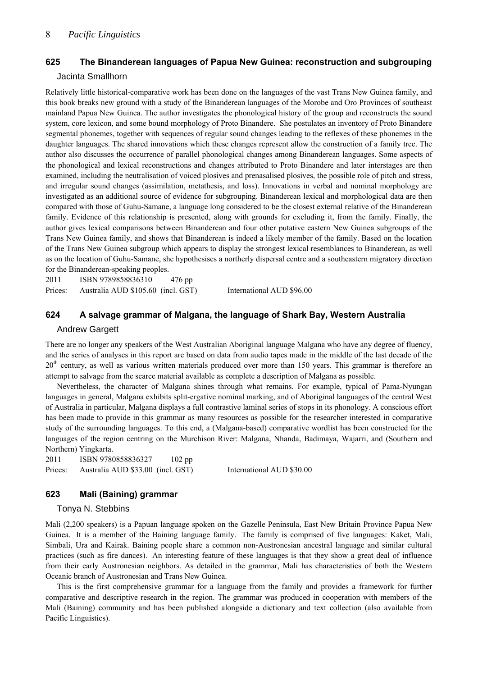#### **625 The Binanderean languages of Papua New Guinea: reconstruction and subgrouping**

#### Jacinta Smallhorn

Relatively little historical-comparative work has been done on the languages of the vast Trans New Guinea family, and this book breaks new ground with a study of the Binanderean languages of the Morobe and Oro Provinces of southeast mainland Papua New Guinea. The author investigates the phonological history of the group and reconstructs the sound system, core lexicon, and some bound morphology of Proto Binandere. She postulates an inventory of Proto Binandere segmental phonemes, together with sequences of regular sound changes leading to the reflexes of these phonemes in the daughter languages. The shared innovations which these changes represent allow the construction of a family tree. The author also discusses the occurrence of parallel phonological changes among Binanderean languages. Some aspects of the phonological and lexical reconstructions and changes attributed to Proto Binandere and later interstages are then examined, including the neutralisation of voiced plosives and prenasalised plosives, the possible role of pitch and stress, and irregular sound changes (assimilation, metathesis, and loss). Innovations in verbal and nominal morphology are investigated as an additional source of evidence for subgrouping. Binanderean lexical and morphological data are then compared with those of Guhu-Samane, a language long considered to be the closest external relative of the Binanderean family. Evidence of this relationship is presented, along with grounds for excluding it, from the family. Finally, the author gives lexical comparisons between Binanderean and four other putative eastern New Guinea subgroups of the Trans New Guinea family, and shows that Binanderean is indeed a likely member of the family. Based on the location of the Trans New Guinea subgroup which appears to display the strongest lexical resemblances to Binanderean, as well as on the location of Guhu-Samane, she hypothesises a northerly dispersal centre and a southeastern migratory direction for the Binanderean-speaking peoples.

2011 ISBN 9789858836310 476 pp

Prices: Australia AUD \$105.60 (incl. GST) International AUD \$96.00

# **624 A salvage grammar of Malgana, the language of Shark Bay, Western Australia**

#### Andrew Gargett

There are no longer any speakers of the West Australian Aboriginal language Malgana who have any degree of fluency, and the series of analyses in this report are based on data from audio tapes made in the middle of the last decade of the  $20<sup>th</sup>$  century, as well as various written materials produced over more than 150 years. This grammar is therefore an attempt to salvage from the scarce material available as complete a description of Malgana as possible.

Nevertheless, the character of Malgana shines through what remains. For example, typical of Pama-Nyungan languages in general, Malgana exhibits split-ergative nominal marking, and of Aboriginal languages of the central West of Australia in particular, Malgana displays a full contrastive laminal series of stops in its phonology. A conscious effort has been made to provide in this grammar as many resources as possible for the researcher interested in comparative study of the surrounding languages. To this end, a (Malgana-based) comparative wordlist has been constructed for the languages of the region centring on the Murchison River: Malgana, Nhanda, Badimaya, Wajarri, and (Southern and Northern) Yingkarta.

2011 **ISBN 9780858836327** 102 pp Prices: Australia AUD \$33.00 (incl. GST) International AUD \$30.00

#### **623 Mali (Baining) grammar**

#### Tonya N. Stebbins

Mali (2,200 speakers) is a Papuan language spoken on the Gazelle Peninsula, East New Britain Province Papua New Guinea. It is a member of the Baining language family. The family is comprised of five languages: Kaket, Mali, Simbali, Ura and Kairak. Baining people share a common non-Austronesian ancestral language and similar cultural practices (such as fire dances). An interesting feature of these languages is that they show a great deal of influence from their early Austronesian neighbors. As detailed in the grammar, Mali has characteristics of both the Western Oceanic branch of Austronesian and Trans New Guinea.

This is the first comprehensive grammar for a language from the family and provides a framework for further comparative and descriptive research in the region. The grammar was produced in cooperation with members of the Mali (Baining) community and has been published alongside a dictionary and text collection (also available from Pacific Linguistics).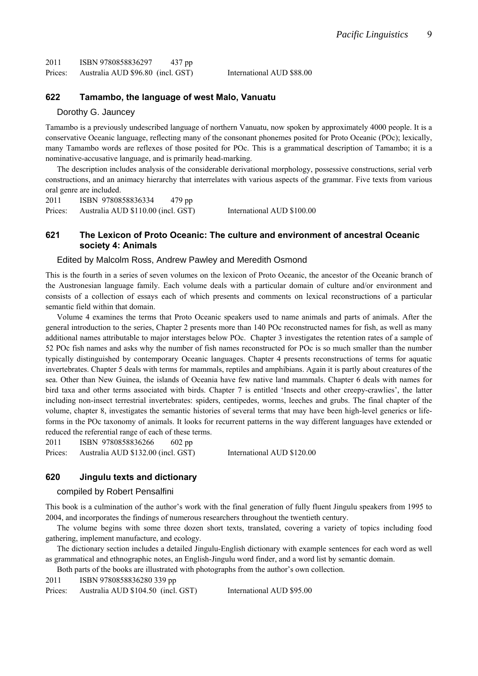2011 **ISBN 9780858836297** 437 pp Prices: Australia AUD \$96.80 (incl. GST) International AUD \$88.00

#### **622 Tamambo, the language of west Malo, Vanuatu**

#### Dorothy G. Jauncey

Tamambo is a previously undescribed language of northern Vanuatu, now spoken by approximately 4000 people. It is a conservative Oceanic language, reflecting many of the consonant phonemes posited for Proto Oceanic (POc); lexically, many Tamambo words are reflexes of those posited for POc. This is a grammatical description of Tamambo; it is a nominative-accusative language, and is primarily head-marking.

The description includes analysis of the considerable derivational morphology, possessive constructions, serial verb constructions, and an animacy hierarchy that interrelates with various aspects of the grammar. Five texts from various oral genre are included.

2011 ISBN 9780858836334 479 pp Prices: Australia AUD \$110.00 (incl. GST) International AUD \$100.00

#### **621 The Lexicon of Proto Oceanic: The culture and environment of ancestral Oceanic society 4: Animals**

#### Edited by Malcolm Ross, Andrew Pawley and Meredith Osmond

This is the fourth in a series of seven volumes on the lexicon of Proto Oceanic, the ancestor of the Oceanic branch of the Austronesian language family. Each volume deals with a particular domain of culture and/or environment and consists of a collection of essays each of which presents and comments on lexical reconstructions of a particular semantic field within that domain.

Volume 4 examines the terms that Proto Oceanic speakers used to name animals and parts of animals. After the general introduction to the series, Chapter 2 presents more than 140 POc reconstructed names for fish, as well as many additional names attributable to major interstages below POc. Chapter 3 investigates the retention rates of a sample of 52 POc fish names and asks why the number of fish names reconstructed for POc is so much smaller than the number typically distinguished by contemporary Oceanic languages. Chapter 4 presents reconstructions of terms for aquatic invertebrates. Chapter 5 deals with terms for mammals, reptiles and amphibians. Again it is partly about creatures of the sea. Other than New Guinea, the islands of Oceania have few native land mammals. Chapter 6 deals with names for bird taxa and other terms associated with birds. Chapter 7 is entitled 'Insects and other creepy-crawlies', the latter including non-insect terrestrial invertebrates: spiders, centipedes, worms, leeches and grubs. The final chapter of the volume, chapter 8, investigates the semantic histories of several terms that may have been high-level generics or lifeforms in the POc taxonomy of animals. It looks for recurrent patterns in the way different languages have extended or reduced the referential range of each of these terms.

2011 ISBN 9780858836266 602 pp Prices: Australia AUD \$132.00 (incl. GST) International AUD \$120.00

#### **620 Jingulu texts and dictionary**

#### compiled by Robert Pensalfini

This book is a culmination of the author's work with the final generation of fully fluent Jingulu speakers from 1995 to 2004, and incorporates the findings of numerous researchers throughout the twentieth century.

The volume begins with some three dozen short texts, translated, covering a variety of topics including food gathering, implement manufacture, and ecology.

The dictionary section includes a detailed Jingulu-English dictionary with example sentences for each word as well as grammatical and ethnographic notes, an English-Jingulu word finder, and a word list by semantic domain.

Both parts of the books are illustrated with photographs from the author's own collection.

2011 ISBN 9780858836280 339 pp

Prices: Australia AUD \$104.50 (incl. GST) International AUD \$95.00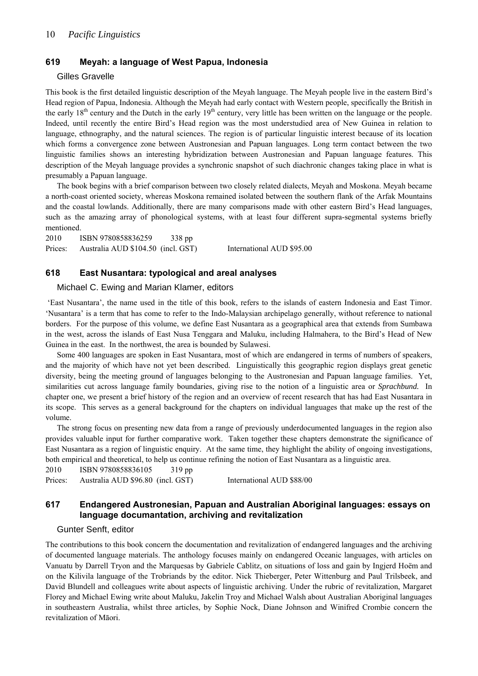#### **619 Meyah: a language of West Papua, Indonesia**

#### Gilles Gravelle

This book is the first detailed linguistic description of the Meyah language. The Meyah people live in the eastern Bird's Head region of Papua, Indonesia. Although the Meyah had early contact with Western people, specifically the British in the early  $18<sup>th</sup>$  century and the Dutch in the early  $19<sup>th</sup>$  century, very little has been written on the language or the people. Indeed, until recently the entire Bird's Head region was the most understudied area of New Guinea in relation to language, ethnography, and the natural sciences. The region is of particular linguistic interest because of its location which forms a convergence zone between Austronesian and Papuan languages. Long term contact between the two linguistic families shows an interesting hybridization between Austronesian and Papuan language features. This description of the Meyah language provides a synchronic snapshot of such diachronic changes taking place in what is presumably a Papuan language.

The book begins with a brief comparison between two closely related dialects, Meyah and Moskona. Meyah became a north-coast oriented society, whereas Moskona remained isolated between the southern flank of the Arfak Mountains and the coastal lowlands. Additionally, there are many comparisons made with other eastern Bird's Head languages, such as the amazing array of phonological systems, with at least four different supra-segmental systems briefly mentioned.

2010 ISBN 9780858836259 338 pp Prices: Australia AUD \$104.50 (incl. GST) International AUD \$95.00

#### **618 East Nusantara: typological and areal analyses**

#### Michael C. Ewing and Marian Klamer, editors

 'East Nusantara', the name used in the title of this book, refers to the islands of eastern Indonesia and East Timor. 'Nusantara' is a term that has come to refer to the Indo-Malaysian archipelago generally, without reference to national borders. For the purpose of this volume, we define East Nusantara as a geographical area that extends from Sumbawa in the west, across the islands of East Nusa Tenggara and Maluku, including Halmahera, to the Bird's Head of New Guinea in the east. In the northwest, the area is bounded by Sulawesi.

Some 400 languages are spoken in East Nusantara, most of which are endangered in terms of numbers of speakers, and the majority of which have not yet been described. Linguistically this geographic region displays great genetic diversity, being the meeting ground of languages belonging to the Austronesian and Papuan language families. Yet, similarities cut across language family boundaries, giving rise to the notion of a linguistic area or *Sprachbund.* In chapter one, we present a brief history of the region and an overview of recent research that has had East Nusantara in its scope. This serves as a general background for the chapters on individual languages that make up the rest of the volume.

The strong focus on presenting new data from a range of previously underdocumented languages in the region also provides valuable input for further comparative work. Taken together these chapters demonstrate the significance of East Nusantara as a region of linguistic enquiry. At the same time, they highlight the ability of ongoing investigations, both empirical and theoretical, to help us continue refining the notion of East Nusantara as a linguistic area.

2010 ISBN 9780858836105 319 pp

Prices: Australia AUD \$96.80 (incl. GST) International AUD \$88/00

#### **617 Endangered Austronesian, Papuan and Australian Aboriginal languages: essays on language documantation, archiving and revitalization**

#### Gunter Senft, editor

The contributions to this book concern the documentation and revitalization of endangered languages and the archiving of documented language materials. The anthology focuses mainly on endangered Oceanic languages, with articles on Vanuatu by Darrell Tryon and the Marquesas by Gabriele Cablitz, on situations of loss and gain by Ingjerd Hoëm and on the Kilivila language of the Trobriands by the editor. Nick Thieberger, Peter Wittenburg and Paul Trilsbeek, and David Blundell and colleagues write about aspects of linguistic archiving. Under the rubric of revitalization, Margaret Florey and Michael Ewing write about Maluku, Jakelin Troy and Michael Walsh about Australian Aboriginal languages in southeastern Australia, whilst three articles, by Sophie Nock, Diane Johnson and Winifred Crombie concern the revitalization of Māori.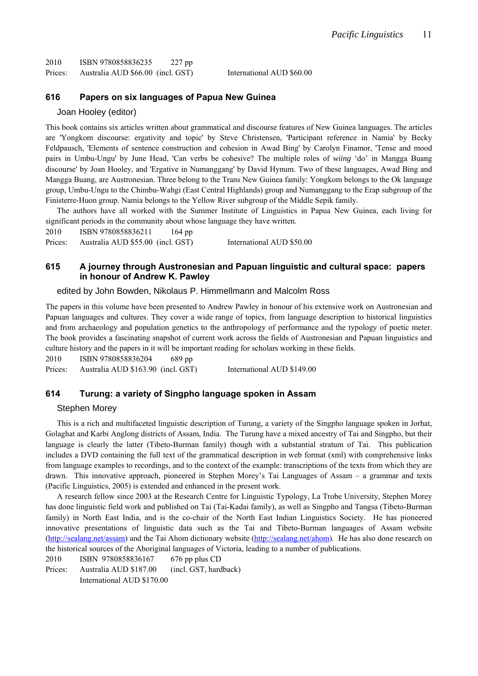2010 ISBN 9780858836235 227 pp Prices: Australia AUD \$66.00 (incl. GST) International AUD \$60.00

#### **616 Papers on six languages of Papua New Guinea**

#### Joan Hooley (editor)

This book contains six articles written about grammatical and discourse features of New Guinea languages. The articles are 'Yongkom discourse: ergativity and topic' by Steve Christensen, 'Participant reference in Namia' by Becky Feldpausch, 'Elements of sentence construction and cohesion in Awad Bing' by Carolyn Finamor, 'Tense and mood pairs in Umbu-Ungu' by June Head, 'Can verbs be cohesive? The multiple roles of *wiing* 'do' in Mangga Buang discourse' by Joan Hooley, and 'Ergative in Numanggang' by David Hynum. Two of these languages, Awad Bing and Mangga Buang, are Austronesian. Three belong to the Trans New Guinea family: Yongkom belongs to the Ok language group, Umbu-Ungu to the Chimbu-Wahgi (East Central Highlands) group and Numanggang to the Erap subgroup of the Finisterre-Huon group. Namia belongs to the Yellow River subgroup of the Middle Sepik family.

The authors have all worked with the Summer Institute of Linguistics in Papua New Guinea, each living for significant periods in the community about whose language they have written.

2010 ISBN 9780858836211 164 pp

Prices: Australia AUD \$55.00 (incl. GST) International AUD \$50.00

#### **615 A journey through Austronesian and Papuan linguistic and cultural space: papers in honour of Andrew K. Pawley**

#### edited by John Bowden, Nikolaus P. Himmellmann and Malcolm Ross

The papers in this volume have been presented to Andrew Pawley in honour of his extensive work on Austronesian and Papuan languages and cultures. They cover a wide range of topics, from language description to historical linguistics and from archaeology and population genetics to the anthropology of performance and the typology of poetic meter. The book provides a fascinating snapshot of current work across the fields of Austronesian and Papuan linguistics and culture history and the papers in it will be important reading for scholars working in these fields.

2010 ISBN 9780858836204 689 pp Prices: Australia AUD \$163.90 (incl. GST) International AUD \$149.00

#### **614 Turung: a variety of Singpho language spoken in Assam**

#### Stephen Morey

This is a rich and multifaceted linguistic description of Turung, a variety of the Singpho language spoken in Jorhat, Golaghat and Karbi Anglong districts of Assam, India. The Turung have a mixed ancestry of Tai and Singpho, but their language is clearly the latter (Tibeto-Burman family) though with a substantial stratum of Tai. This publication includes a DVD containing the full text of the grammatical description in web format (xml) with comprehensive links from language examples to recordings, and to the context of the example: transcriptions of the texts from which they are drawn. This innovative approach, pioneered in Stephen Morey's Tai Languages of Assam – a grammar and texts (Pacific Linguistics, 2005) is extended and enhanced in the present work.

A research fellow since 2003 at the Research Centre for Linguistic Typology, La Trobe University, Stephen Morey has done linguistic field work and published on Tai (Tai-Kadai family), as well as Singpho and Tangsa (Tibeto-Burman family) in North East India, and is the co-chair of the North East Indian Linguistics Society. He has pioneered innovative presentations of linguistic data such as the Tai and Tibeto-Burman languages of Assam website (http://sealang.net/assam) and the Tai Ahom dictionary website (http://sealang.net/ahom). He has also done research on the historical sources of the Aboriginal languages of Victoria, leading to a number of publications.

2010 ISBN 9780858836167 676 pp plus CD

Prices: Australia AUD \$187.00 (incl. GST, hardback) International AUD \$170.00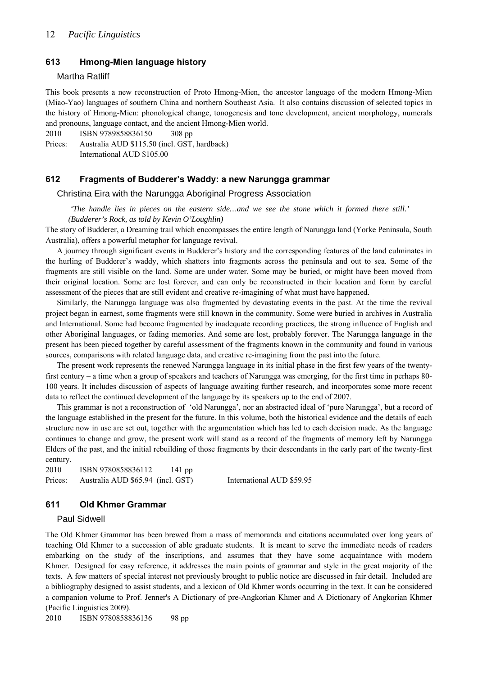#### **613 Hmong-Mien language history**

#### Martha Ratliff

This book presents a new reconstruction of Proto Hmong-Mien, the ancestor language of the modern Hmong-Mien (Miao-Yao) languages of southern China and northern Southeast Asia. It also contains discussion of selected topics in the history of Hmong-Mien: phonological change, tonogenesis and tone development, ancient morphology, numerals and pronouns, language contact, and the ancient Hmong-Mien world.

2010 ISBN 9789858836150 308 pp

Prices: Australia AUD \$115.50 (incl. GST, hardback) International AUD \$105.00

#### **612 Fragments of Budderer's Waddy: a new Narungga grammar**

#### Christina Eira with the Narungga Aboriginal Progress Association

 *'The handle lies in pieces on the eastern side…and we see the stone which it formed there still.' (Budderer's Rock, as told by Kevin O'Loughlin)* 

The story of Budderer, a Dreaming trail which encompasses the entire length of Narungga land (Yorke Peninsula, South Australia), offers a powerful metaphor for language revival.

A journey through significant events in Budderer's history and the corresponding features of the land culminates in the hurling of Budderer's waddy, which shatters into fragments across the peninsula and out to sea. Some of the fragments are still visible on the land. Some are under water. Some may be buried, or might have been moved from their original location. Some are lost forever, and can only be reconstructed in their location and form by careful assessment of the pieces that are still evident and creative re-imagining of what must have happened.

Similarly, the Narungga language was also fragmented by devastating events in the past. At the time the revival project began in earnest, some fragments were still known in the community. Some were buried in archives in Australia and International. Some had become fragmented by inadequate recording practices, the strong influence of English and other Aboriginal languages, or fading memories. And some are lost, probably forever. The Narungga language in the present has been pieced together by careful assessment of the fragments known in the community and found in various sources, comparisons with related language data, and creative re-imagining from the past into the future.

The present work represents the renewed Narungga language in its initial phase in the first few years of the twentyfirst century – a time when a group of speakers and teachers of Narungga was emerging, for the first time in perhaps 80- 100 years. It includes discussion of aspects of language awaiting further research, and incorporates some more recent data to reflect the continued development of the language by its speakers up to the end of 2007.

This grammar is not a reconstruction of 'old Narungga', nor an abstracted ideal of 'pure Narungga', but a record of the language established in the present for the future. In this volume, both the historical evidence and the details of each structure now in use are set out, together with the argumentation which has led to each decision made. As the language continues to change and grow, the present work will stand as a record of the fragments of memory left by Narungga Elders of the past, and the initial rebuilding of those fragments by their descendants in the early part of the twenty-first century.

2010 ISBN 9780858836112 141 pp Prices: Australia AUD \$65.94 (incl. GST) International AUD \$59.95

#### **611 Old Khmer Grammar**

#### Paul Sidwell

The Old Khmer Grammar has been brewed from a mass of memoranda and citations accumulated over long years of teaching Old Khmer to a succession of able graduate students. It is meant to serve the immediate needs of readers embarking on the study of the inscriptions, and assumes that they have some acquaintance with modern Khmer. Designed for easy reference, it addresses the main points of grammar and style in the great majority of the texts. A few matters of special interest not previously brought to public notice are discussed in fair detail. Included are a bibliography designed to assist students, and a lexicon of Old Khmer words occurring in the text. It can be considered a companion volume to Prof. Jenner's A Dictionary of pre-Angkorian Khmer and A Dictionary of Angkorian Khmer (Pacific Linguistics 2009).

2010 ISBN 9780858836136 98 pp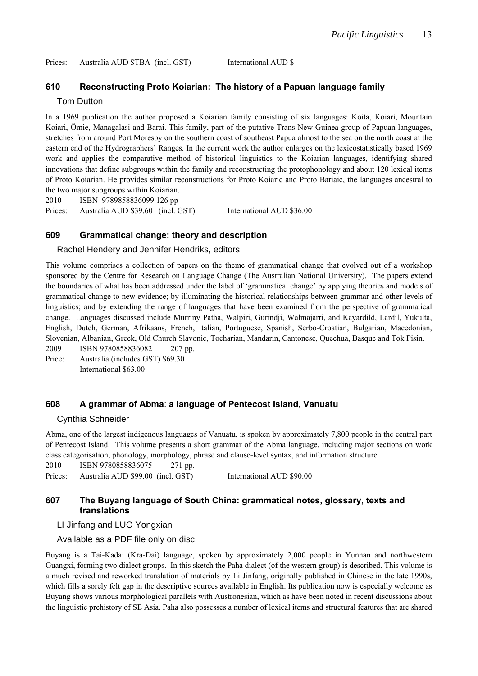#### **610 Reconstructing Proto Koiarian: The history of a Papuan language family**

#### Tom Dutton

In a 1969 publication the author proposed a Koiarian family consisting of six languages: Koita, Koiari, Mountain Koiari, Ömie, Managalasi and Barai. This family, part of the putative Trans New Guinea group of Papuan languages, stretches from around Port Moresby on the southern coast of southeast Papua almost to the sea on the north coast at the eastern end of the Hydrographers' Ranges. In the current work the author enlarges on the lexicostatistically based 1969 work and applies the comparative method of historical linguistics to the Koiarian languages, identifying shared innovations that define subgroups within the family and reconstructing the protophonology and about 120 lexical items of Proto Koiarian. He provides similar reconstructions for Proto Koiaric and Proto Bariaic, the languages ancestral to the two major subgroups within Koiarian.

2010 ISBN 9789858836099 126 pp

Prices: Australia AUD \$39.60 (incl. GST) International AUD \$36.00

#### **609 Grammatical change: theory and description**

#### Rachel Hendery and Jennifer Hendriks, editors

This volume comprises a collection of papers on the theme of grammatical change that evolved out of a workshop sponsored by the Centre for Research on Language Change (The Australian National University). The papers extend the boundaries of what has been addressed under the label of 'grammatical change' by applying theories and models of grammatical change to new evidence; by illuminating the historical relationships between grammar and other levels of linguistics; and by extending the range of languages that have been examined from the perspective of grammatical change. Languages discussed include Murriny Patha, Walpiri, Gurindji, Walmajarri, and Kayardild, Lardil, Yukulta, English, Dutch, German, Afrikaans, French, Italian, Portuguese, Spanish, Serbo-Croatian, Bulgarian, Macedonian, Slovenian, Albanian, Greek, Old Church Slavonic, Tocharian, Mandarin, Cantonese, Quechua, Basque and Tok Pisin. 2009 ISBN 9780858836082 207 pp.

Price: Australia (includes GST) \$69.30 International \$63.00

#### **608 A grammar of Abma**: **a language of Pentecost Island, Vanuatu**

#### Cynthia Schneider

Abma, one of the largest indigenous languages of Vanuatu, is spoken by approximately 7,800 people in the central part of Pentecost Island. This volume presents a short grammar of the Abma language, including major sections on work class categorisation, phonology, morphology, phrase and clause-level syntax, and information structure.

2010 **ISBN 9780858836075** 271 pp.

Prices: Australia AUD \$99.00 (incl. GST) International AUD \$90.00

#### **607 The Buyang language of South China: grammatical notes, glossary, texts and translations**

#### LI Jinfang and LUO Yongxian

Available as a PDF file only on disc

Buyang is a Tai-Kadai (Kra-Dai) language, spoken by approximately 2,000 people in Yunnan and northwestern Guangxi, forming two dialect groups. In this sketch the Paha dialect (of the western group) is described. This volume is a much revised and reworked translation of materials by Li Jinfang, originally published in Chinese in the late 1990s, which fills a sorely felt gap in the descriptive sources available in English. Its publication now is especially welcome as Buyang shows various morphological parallels with Austronesian, which as have been noted in recent discussions about the linguistic prehistory of SE Asia. Paha also possesses a number of lexical items and structural features that are shared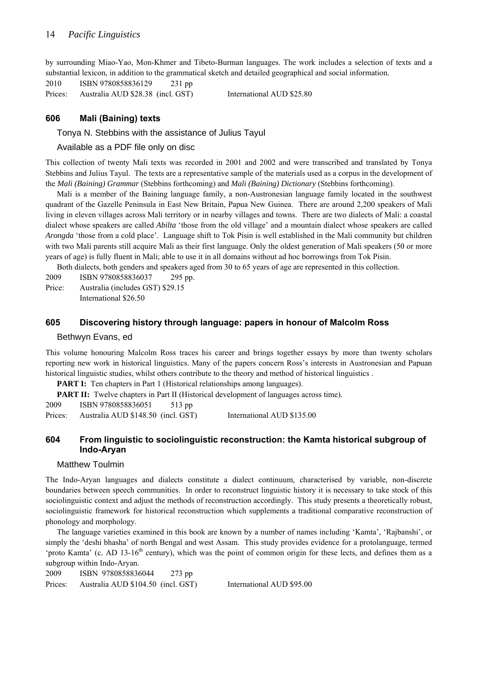by surrounding Miao-Yao, Mon-Khmer and Tibeto-Burman languages. The work includes a selection of texts and a substantial lexicon, in addition to the grammatical sketch and detailed geographical and social information.

2010 ISBN 9780858836129 231 pp

Prices: Australia AUD \$28.38 (incl. GST) International AUD \$25.80

#### **606 Mali (Baining) texts**

Tonya N. Stebbins with the assistance of Julius Tayul

Available as a PDF file only on disc

This collection of twenty Mali texts was recorded in 2001 and 2002 and were transcribed and translated by Tonya Stebbins and Julius Tayul. The texts are a representative sample of the materials used as a corpus in the development of the *Mali (Baining) Grammar* (Stebbins forthcoming) and *Mali (Baining) Dictionary* (Stebbins forthcoming).

Mali is a member of the Baining language family, a non-Austronesian language family located in the southwest quadrant of the Gazelle Peninsula in East New Britain, Papua New Guinea. There are around 2,200 speakers of Mali living in eleven villages across Mali territory or in nearby villages and towns. There are two dialects of Mali: a coastal dialect whose speakers are called *Abilta* 'those from the old village' and a mountain dialect whose speakers are called *Arongda* 'those from a cold place'. Language shift to Tok Pisin is well established in the Mali community but children with two Mali parents still acquire Mali as their first language. Only the oldest generation of Mali speakers (50 or more years of age) is fully fluent in Mali; able to use it in all domains without ad hoc borrowings from Tok Pisin.

Both dialects, both genders and speakers aged from 30 to 65 years of age are represented in this collection.

2009 ISBN 9780858836037 295 pp.

Price: Australia (includes GST) \$29.15 International \$26.50

#### **605 Discovering history through language: papers in honour of Malcolm Ross**

#### Bethwyn Evans, ed

This volume honouring Malcolm Ross traces his career and brings together essays by more than twenty scholars reporting new work in historical linguistics. Many of the papers concern Ross's interests in Austronesian and Papuan historical linguistic studies, whilst others contribute to the theory and method of historical linguistics .

**PART I:** Ten chapters in Part 1 (Historical relationships among languages).

**PART II:** Twelve chapters in Part II (Historical development of languages across time).

2009 ISBN 9780858836051 513 pp Prices: Australia AUD \$148.50 (incl. GST) International AUD \$135.00

#### **604 From linguistic to sociolinguistic reconstruction: the Kamta historical subgroup of Indo-Aryan**

#### Matthew Toulmin

The Indo-Aryan languages and dialects constitute a dialect continuum, characterised by variable, non-discrete boundaries between speech communities. In order to reconstruct linguistic history it is necessary to take stock of this sociolinguistic context and adjust the methods of reconstruction accordingly. This study presents a theoretically robust, sociolinguistic framework for historical reconstruction which supplements a traditional comparative reconstruction of phonology and morphology.

The language varieties examined in this book are known by a number of names including 'Kamta', 'Rajbanshi', or simply the 'deshi bhasha' of north Bengal and west Assam. This study provides evidence for a protolanguage, termed 'proto Kamta' (c. AD 13-16<sup>th</sup> century), which was the point of common origin for these lects, and defines them as a subgroup within Indo-Aryan.

| 2009    | ISBN 9780858836044                 | $273$ pp |                           |
|---------|------------------------------------|----------|---------------------------|
| Prices: | Australia AUD \$104.50 (incl. GST) |          | International AUD \$95.00 |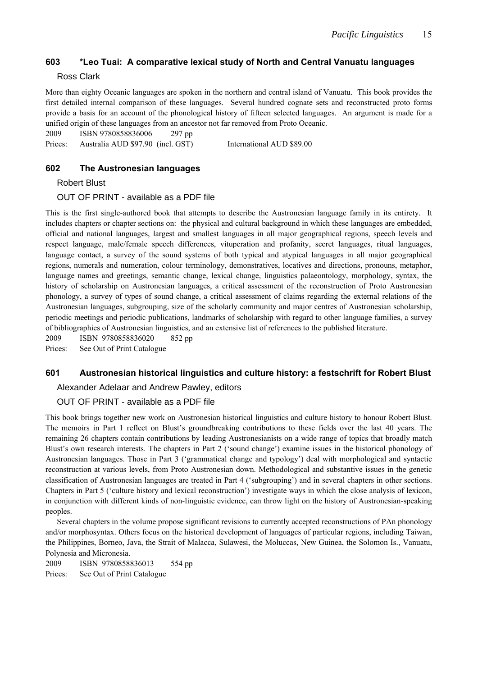#### **603 \*Leo Tuai: A comparative lexical study of North and Central Vanuatu languages**

#### Ross Clark

More than eighty Oceanic languages are spoken in the northern and central island of Vanuatu. This book provides the first detailed internal comparison of these languages. Several hundred cognate sets and reconstructed proto forms provide a basis for an account of the phonological history of fifteen selected languages. An argument is made for a unified origin of these languages from an ancestor not far removed from Proto Oceanic.

2009 ISBN 9780858836006 297 pp

Prices: Australia AUD \$97.90 (incl. GST) International AUD \$89.00

#### **602 The Austronesian languages**

#### Robert Blust

#### OUT OF PRINT - available as a PDF file

This is the first single-authored book that attempts to describe the Austronesian language family in its entirety. It includes chapters or chapter sections on: the physical and cultural background in which these languages are embedded, official and national languages, largest and smallest languages in all major geographical regions, speech levels and respect language, male/female speech differences, vituperation and profanity, secret languages, ritual languages, language contact, a survey of the sound systems of both typical and atypical languages in all major geographical regions, numerals and numeration, colour terminology, demonstratives, locatives and directions, pronouns, metaphor, language names and greetings, semantic change, lexical change, linguistics palaeontology, morphology, syntax, the history of scholarship on Austronesian languages, a critical assessment of the reconstruction of Proto Austronesian phonology, a survey of types of sound change, a critical assessment of claims regarding the external relations of the Austronesian languages, subgrouping, size of the scholarly community and major centres of Austronesian scholarship, periodic meetings and periodic publications, landmarks of scholarship with regard to other language families, a survey of bibliographies of Austronesian linguistics, and an extensive list of references to the published literature.

2009 ISBN 9780858836020 852 pp

Prices: See Out of Print Catalogue

#### **601 Austronesian historical linguistics and culture history: a festschrift for Robert Blust**

#### Alexander Adelaar and Andrew Pawley, editors

#### OUT OF PRINT - available as a PDF file

This book brings together new work on Austronesian historical linguistics and culture history to honour Robert Blust. The memoirs in Part 1 reflect on Blust's groundbreaking contributions to these fields over the last 40 years. The remaining 26 chapters contain contributions by leading Austronesianists on a wide range of topics that broadly match Blust's own research interests. The chapters in Part 2 ('sound change') examine issues in the historical phonology of Austronesian languages. Those in Part 3 ('grammatical change and typology') deal with morphological and syntactic reconstruction at various levels, from Proto Austronesian down. Methodological and substantive issues in the genetic classification of Austronesian languages are treated in Part 4 ('subgrouping') and in several chapters in other sections. Chapters in Part 5 ('culture history and lexical reconstruction') investigate ways in which the close analysis of lexicon, in conjunction with different kinds of non-linguistic evidence, can throw light on the history of Austronesian-speaking peoples.

Several chapters in the volume propose significant revisions to currently accepted reconstructions of PAn phonology and/or morphosyntax. Others focus on the historical development of languages of particular regions, including Taiwan, the Philippines, Borneo, Java, the Strait of Malacca, Sulawesi, the Moluccas, New Guinea, the Solomon Is., Vanuatu, Polynesia and Micronesia.

2009 ISBN 9780858836013 554 pp Prices: See Out of Print Catalogue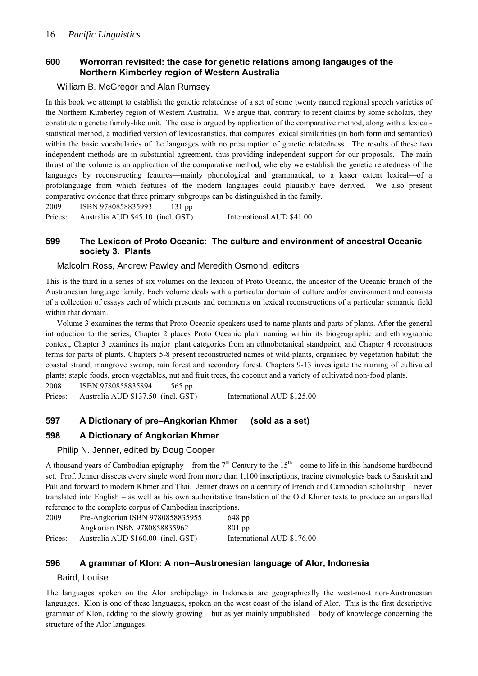#### **600 Worrorran revisited: the case for genetic relations among langauges of the Northern Kimberley region of Western Australia**

#### William B. McGregor and Alan Rumsey

In this book we attempt to establish the genetic relatedness of a set of some twenty named regional speech varieties of the Northern Kimberley region of Western Australia. We argue that, contrary to recent claims by some scholars, they constitute a genetic family-like unit. The case is argued by application of the comparative method, along with a lexicalstatistical method, a modified version of lexicostatistics, that compares lexical similarities (in both form and semantics) within the basic vocabularies of the languages with no presumption of genetic relatedness. The results of these two independent methods are in substantial agreement, thus providing independent support for our proposals. The main thrust of the volume is an application of the comparative method, whereby we establish the genetic relatedness of the languages by reconstructing features—mainly phonological and grammatical, to a lesser extent lexical—of a protolanguage from which features of the modern languages could plausibly have derived. We also present comparative evidence that three primary subgroups can be distinguished in the family.

2009 ISBN 9780858835993 131 pp

Prices: Australia AUD \$45.10 (incl. GST) International AUD \$41.00

#### **599 The Lexicon of Proto Oceanic: The culture and environment of ancestral Oceanic society 3. Plants**

#### Malcolm Ross, Andrew Pawley and Meredith Osmond, editors

This is the third in a series of six volumes on the lexicon of Proto Oceanic, the ancestor of the Oceanic branch of the Austronesian language family. Each volume deals with a particular domain of culture and/or environment and consists of a collection of essays each of which presents and comments on lexical reconstructions of a particular semantic field within that domain.

Volume 3 examines the terms that Proto Oceanic speakers used to name plants and parts of plants. After the general introduction to the series, Chapter 2 places Proto Oceanic plant naming within its biogeographic and ethnographic context, Chapter 3 examines its major plant categories from an ethnobotanical standpoint, and Chapter 4 reconstructs terms for parts of plants. Chapters 5-8 present reconstructed names of wild plants, organised by vegetation habitat: the coastal strand, mangrove swamp, rain forest and secondary forest. Chapters 9-13 investigate the naming of cultivated plants: staple foods, green vegetables, nut and fruit trees, the coconut and a variety of cultivated non-food plants.

2008 ISBN 9780858835894 565 pp.

Prices: Australia AUD \$137.50 (incl. GST) International AUD \$125.00

#### **597 A Dictionary of pre–Angkorian Khmer (sold as a set)**

#### **598 A Dictionary of Angkorian Khmer**

#### Philip N. Jenner, edited by Doug Cooper

A thousand years of Cambodian epigraphy – from the  $7<sup>th</sup>$  Century to the  $15<sup>th</sup>$  – come to life in this handsome hardbound set. Prof. Jenner dissects every single word from more than 1,100 inscriptions, tracing etymologies back to Sanskrit and Pali and forward to modern Khmer and Thai. Jenner draws on a century of French and Cambodian scholarship – never translated into English – as well as his own authoritative translation of the Old Khmer texts to produce an unparalled reference to the complete corpus of Cambodian inscriptions.

| 2009    | Pre-Angkorian ISBN 9780858835955   | 648 pp                     |
|---------|------------------------------------|----------------------------|
|         | Angkorian ISBN 9780858835962       | $801$ pp                   |
| Prices: | Australia AUD \$160.00 (incl. GST) | International AUD \$176.00 |

#### **596 A grammar of Klon: A non–Austronesian language of Alor, Indonesia**

#### Baird, Louise

The languages spoken on the Alor archipelago in Indonesia are geographically the west-most non-Austronesian languages. Klon is one of these languages, spoken on the west coast of the island of Alor. This is the first descriptive grammar of Klon, adding to the slowly growing – but as yet mainly unpublished – body of knowledge concerning the structure of the Alor languages.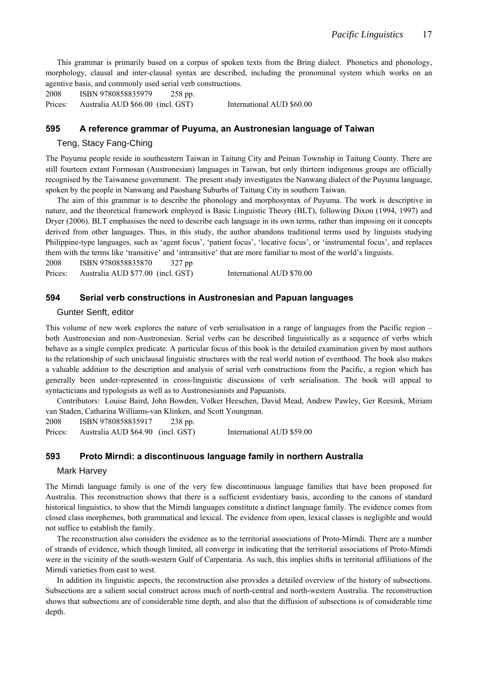This grammar is primarily based on a corpus of spoken texts from the Bring dialect. Phonetics and phonology, morphology, clausal and inter-clausal syntax are described, including the pronominal system which works on an agentive basis, and commonly used serial verb constructions.

2008 ISBN 9780858835979 258 pp.

Prices: Australia AUD \$66.00 (incl. GST) International AUD \$60.00

#### **595 A reference grammar of Puyuma, an Austronesian language of Taiwan**

#### Teng, Stacy Fang-Ching

The Puyuma people reside in southeastern Taiwan in Taitung City and Peinan Township in Taitung County. There are still fourteen extant Formosan (Austronesian) languages in Taiwan, but only thirteen indigenous groups are officially recognised by the Taiwanese government. The present study investigates the Nanwang dialect of the Puyuma language, spoken by the people in Nanwang and Paoshang Suburbs of Taitung City in southern Taiwan.

The aim of this grammar is to describe the phonology and morphosyntax of Puyuma. The work is descriptive in nature, and the theoretical framework employed is Basic Linguistic Theory (BLT), following Dixon (1994, 1997) and Dryer (2006). BLT emphasises the need to describe each language in its own terms, rather than imposing on it concepts derived from other languages. Thus, in this study, the author abandons traditional terms used by linguists studying Philippine-type languages, such as 'agent focus', 'patient focus', 'locative focus', or 'instrumental focus', and replaces them with the terms like 'transitive' and 'intransitive' that are more familiar to most of the world's linguists.

2008 ISBN 9780858835870 327 pp

Prices: Australia AUD \$77.00 (incl. GST) International AUD \$70.00

#### **594 Serial verb constructions in Austronesian and Papuan languages**

#### Gunter Senft, editor

This volume of new work explores the nature of verb serialisation in a range of languages from the Pacific region – both Austronesian and non-Austronesian. Serial verbs can be described linguistically as a sequence of verbs which behave as a single complex predicate. A particular focus of this book is the detailed examination given by most authors to the relationship of such uniclausal linguistic structures with the real world notion of eventhood. The book also makes a valuable addition to the description and analysis of serial verb constructions from the Pacific, a region which has generally been under-represented in cross-linguistic discussions of verb serialisation. The book will appeal to syntacticians and typologists as well as to Austronesianists and Papuanists.

Contributors: Louise Baird, John Bowden, Volker Heeschen, David Mead, Andrew Pawley, Ger Reesink, Miriam van Staden, Catharina Williams-van Klinken, and Scott Youngman.

2008 ISBN 9780858835917 238 pp.

Prices: Australia AUD \$64.90 (incl. GST) International AUD \$59.00

#### **593 Proto Mirndi: a discontinuous language family in northern Australia**

#### Mark Harvey

The Mirndi language family is one of the very few discontinuous language families that have been proposed for Australia. This reconstruction shows that there is a sufficient evidentiary basis, according to the canons of standard historical linguistics, to show that the Mirndi languages constitute a distinct language family. The evidence comes from closed class morphemes, both grammatical and lexical. The evidence from open, lexical classes is negligible and would not suffice to establish the family.

The reconstruction also considers the evidence as to the territorial associations of Proto-Mirndi. There are a number of strands of evidence, which though limited, all converge in indicating that the territorial associations of Proto-Mirndi were in the vicinity of the south-western Gulf of Carpentaria. As such, this implies shifts in territorial affiliations of the Mirndi varieties from east to west.

In addition its linguistic aspects, the reconstruction also provides a detailed overview of the history of subsections. Subsections are a salient social construct across much of north-central and north-western Australia. The reconstruction shows that subsections are of considerable time depth, and also that the diffusion of subsections is of considerable time depth.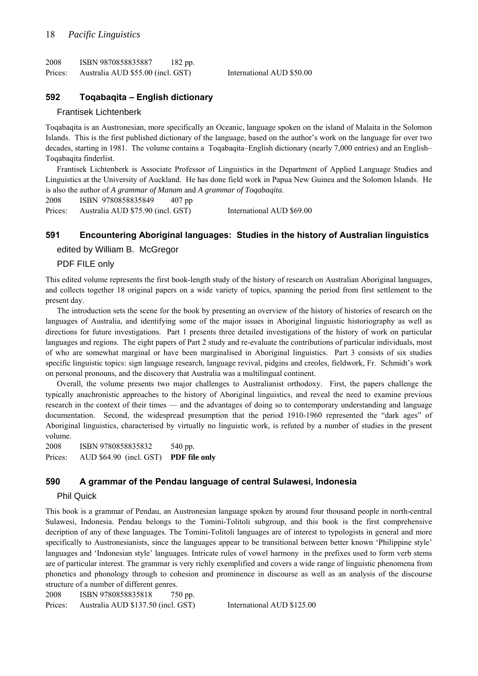| 2008    | ISBN 9870858835887                | 182 pp. |                           |
|---------|-----------------------------------|---------|---------------------------|
| Prices: | Australia AUD \$55.00 (incl. GST) |         | International AUD \$50.00 |

#### **592 Toqabaqita – English dictionary**

#### Frantisek Lichtenberk

Toqabaqita is an Austronesian, more specifically an Oceanic, language spoken on the island of Malaita in the Solomon Islands. This is the first published dictionary of the language, based on the author's work on the language for over two decades, starting in 1981. The volume contains a Toqabaqita–English dictionary (nearly 7,000 entries) and an English– Toqabaqita finderlist.

Frantisek Lichtenberk is Associate Professor of Linguistics in the Department of Applied Language Studies and Linguistics at the University of Auckland. He has done field work in Papua New Guinea and the Solomon Islands. He is also the author of *A grammar of Manam* and *A grammar of Toqabaqita*.

2008 ISBN 9780858835849 407 pp

Prices: Australia AUD \$75.90 (incl. GST) International AUD \$69.00

#### **591 Encountering Aboriginal languages: Studies in the history of Australian linguistics**

edited by William B. McGregor

PDF FILE only

This edited volume represents the first book-length study of the history of research on Australian Aboriginal languages, and collects together 18 original papers on a wide variety of topics, spanning the period from first settlement to the present day.

The introduction sets the scene for the book by presenting an overview of the history of histories of research on the languages of Australia, and identifying some of the major issues in Aboriginal linguistic historiography as well as directions for future investigations. Part 1 presents three detailed investigations of the history of work on particular languages and regions. The eight papers of Part 2 study and re-evaluate the contributions of particular individuals, most of who are somewhat marginal or have been marginalised in Aboriginal linguistics. Part 3 consists of six studies specific linguistic topics: sign language research, language revival, pidgins and creoles, fieldwork, Fr. Schmidt's work on personal pronouns, and the discovery that Australia was a multilingual continent.

Overall, the volume presents two major challenges to Australianist orthodoxy. First, the papers challenge the typically anachronistic approaches to the history of Aboriginal linguistics, and reveal the need to examine previous research in the context of their times — and the advantages of doing so to contemporary understanding and language documentation. Second, the widespread presumption that the period 1910-1960 represented the "dark ages" of Aboriginal linguistics, characterised by virtually no linguistic work, is refuted by a number of studies in the present volume.

2008 ISBN 9780858835832 540 pp. Prices: AUD \$64.90 (incl. GST) **PDF file only** 

#### **590 A grammar of the Pendau language of central Sulawesi, Indonesia**

#### Phil Quick

This book is a grammar of Pendau, an Austronesian language spoken by around four thousand people in north-central Sulawesi, Indonesia. Pendau belongs to the Tomini-Tolitoli subgroup, and this book is the first comprehensive decription of any of these languages. The Tomini-Tolitoli languages are of interest to typologists in general and more specifically to Austronesianists, since the languages appear to be transitional between better known 'Philippine style' languages and 'Indonesian style' languages. Intricate rules of vowel harmony in the prefixes used to form verb stems are of particular interest. The grammar is very richly exemplified and covers a wide range of linguistic phenomena from phonetics and phonology through to cohesion and prominence in discourse as well as an analysis of the discourse structure of a number of different genres.

2008 ISBN 9780858835818 750 pp. Prices: Australia AUD \$137.50 (incl. GST) International AUD \$125.00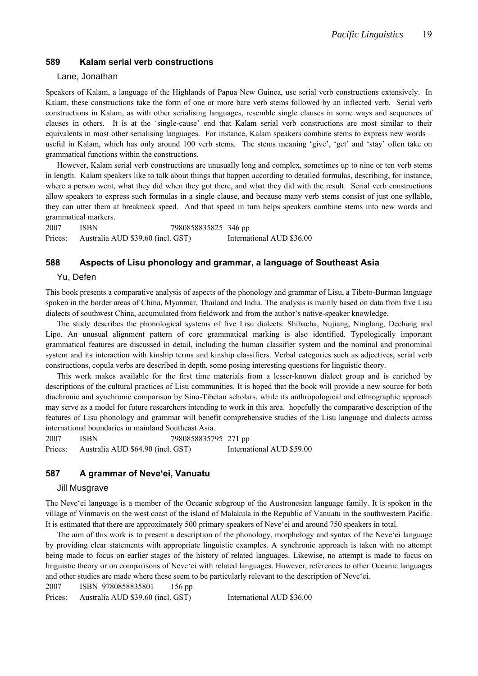#### **589 Kalam serial verb constructions**

#### Lane, Jonathan

Speakers of Kalam, a language of the Highlands of Papua New Guinea, use serial verb constructions extensively. In Kalam, these constructions take the form of one or more bare verb stems followed by an inflected verb. Serial verb constructions in Kalam, as with other serialising languages, resemble single clauses in some ways and sequences of clauses in others. It is at the 'single-cause' end that Kalam serial verb constructions are most similar to their equivalents in most other serialising languages. For instance, Kalam speakers combine stems to express new words – useful in Kalam, which has only around 100 verb stems. The stems meaning 'give', 'get' and 'stay' often take on grammatical functions within the constructions.

However, Kalam serial verb constructions are unusually long and complex, sometimes up to nine or ten verb stems in length. Kalam speakers like to talk about things that happen according to detailed formulas, describing, for instance, where a person went, what they did when they got there, and what they did with the result. Serial verb constructions allow speakers to express such formulas in a single clause, and because many verb stems consist of just one syllable, they can utter them at breakneck speed. And that speed in turn helps speakers combine stems into new words and grammatical markers.

2007 ISBN 7980858835825 346 pp Prices: Australia AUD \$39.60 (incl. GST) International AUD \$36.00

#### **588 Aspects of Lisu phonology and grammar, a language of Southeast Asia**

#### Yu, Defen

This book presents a comparative analysis of aspects of the phonology and grammar of Lisu, a Tibeto-Burman language spoken in the border areas of China, Myanmar, Thailand and India. The analysis is mainly based on data from five Lisu dialects of southwest China, accumulated from fieldwork and from the author's native-speaker knowledge.

The study describes the phonological systems of five Lisu dialects: Shibacha, Nujiang, Ninglang, Dechang and Lipo. An unusual alignment pattern of core grammatical marking is also identified. Typologically important grammatical features are discussed in detail, including the human classifier system and the nominal and pronominal system and its interaction with kinship terms and kinship classifiers. Verbal categories such as adjectives, serial verb constructions, copula verbs are described in depth, some posing interesting questions for linguistic theory.

This work makes available for the first time materials from a lesser-known dialect group and is enriched by descriptions of the cultural practices of Lisu communities. It is hoped that the book will provide a new source for both diachronic and synchronic comparison by Sino-Tibetan scholars, while its anthropological and ethnographic approach may serve as a model for future researchers intending to work in this area. hopefully the comparative description of the features of Lisu phonology and grammar will benefit comprehensive studies of the Lisu language and dialects across international boundaries in mainland Southeast Asia.

2007 ISBN 7980858835795 271 pp Prices: Australia AUD \$64.90 (incl. GST) International AUD \$59.00

#### **587 A grammar of Neve'ei, Vanuatu**

#### Jill Musgrave

The Neve'ei language is a member of the Oceanic subgroup of the Austronesian language family. It is spoken in the village of Vinmavis on the west coast of the island of Malakula in the Republic of Vanuatu in the southwestern Pacific. It is estimated that there are approximately 500 primary speakers of Neve'ei and around 750 speakers in total.

The aim of this work is to present a description of the phonology, morphology and syntax of the Neve'ei language by providing clear statements with appropriate linguistic examples. A synchronic approach is taken with no attempt being made to focus on earlier stages of the history of related languages. Likewise, no attempt is made to focus on linguistic theory or on comparisons of Neve'ei with related languages. However, references to other Oceanic languages and other studies are made where these seem to be particularly relevant to the description of Neve'ei.

2007 ISBN 9780858835801 156 pp

Prices: Australia AUD \$39.60 (incl. GST) International AUD \$36.00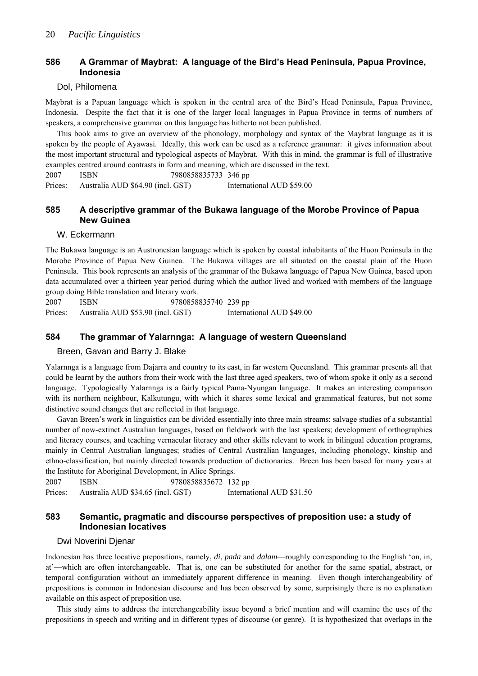#### **586 A Grammar of Maybrat: A language of the Bird's Head Peninsula, Papua Province, Indonesia**

#### Dol, Philomena

Maybrat is a Papuan language which is spoken in the central area of the Bird's Head Peninsula, Papua Province, Indonesia. Despite the fact that it is one of the larger local languages in Papua Province in terms of numbers of speakers, a comprehensive grammar on this language has hitherto not been published.

This book aims to give an overview of the phonology, morphology and syntax of the Maybrat language as it is spoken by the people of Ayawasi. Ideally, this work can be used as a reference grammar: it gives information about the most important structural and typological aspects of Maybrat. With this in mind, the grammar is full of illustrative examples centred around contrasts in form and meaning, which are discussed in the text.

2007 ISBN 7980858835733 346 pp

Prices: Australia AUD \$64.90 (incl. GST) International AUD \$59.00

#### **585 A descriptive grammar of the Bukawa language of the Morobe Province of Papua New Guinea**

#### W. Eckermann

The Bukawa language is an Austronesian language which is spoken by coastal inhabitants of the Huon Peninsula in the Morobe Province of Papua New Guinea. The Bukawa villages are all situated on the coastal plain of the Huon Peninsula. This book represents an analysis of the grammar of the Bukawa language of Papua New Guinea, based upon data accumulated over a thirteen year period during which the author lived and worked with members of the language group doing Bible translation and literary work.

2007 ISBN 9780858835740 239 pp Prices: Australia AUD \$53.90 (incl. GST) International AUD \$49.00

#### **584 The grammar of Yalarnnga: A language of western Queensland**

#### Breen, Gavan and Barry J. Blake

Yalarnnga is a language from Dajarra and country to its east, in far western Queensland. This grammar presents all that could be learnt by the authors from their work with the last three aged speakers, two of whom spoke it only as a second language. Typologically Yalarnnga is a fairly typical Pama-Nyungan language. It makes an interesting comparison with its northern neighbour, Kalkutungu, with which it shares some lexical and grammatical features, but not some distinctive sound changes that are reflected in that language.

Gavan Breen's work in linguistics can be divided essentially into three main streams: salvage studies of a substantial number of now-extinct Australian languages, based on fieldwork with the last speakers; development of orthographies and literacy courses, and teaching vernacular literacy and other skills relevant to work in bilingual education programs, mainly in Central Australian languages; studies of Central Australian languages, including phonology, kinship and ethno-classification, but mainly directed towards production of dictionaries. Breen has been based for many years at the Institute for Aboriginal Development, in Alice Springs.

2007 ISBN 9780858835672 132 pp Prices: Australia AUD \$34.65 (incl. GST) International AUD \$31.50

#### **583 Semantic, pragmatic and discourse perspectives of preposition use: a study of Indonesian locatives**

#### Dwi Noverini Djenar

Indonesian has three locative prepositions, namely, *di*, *pada* and *dalam*—roughly corresponding to the English 'on, in, at'—which are often interchangeable. That is, one can be substituted for another for the same spatial, abstract, or temporal configuration without an immediately apparent difference in meaning. Even though interchangeability of prepositions is common in Indonesian discourse and has been observed by some, surprisingly there is no explanation available on this aspect of preposition use.

This study aims to address the interchangeability issue beyond a brief mention and will examine the uses of the prepositions in speech and writing and in different types of discourse (or genre). It is hypothesized that overlaps in the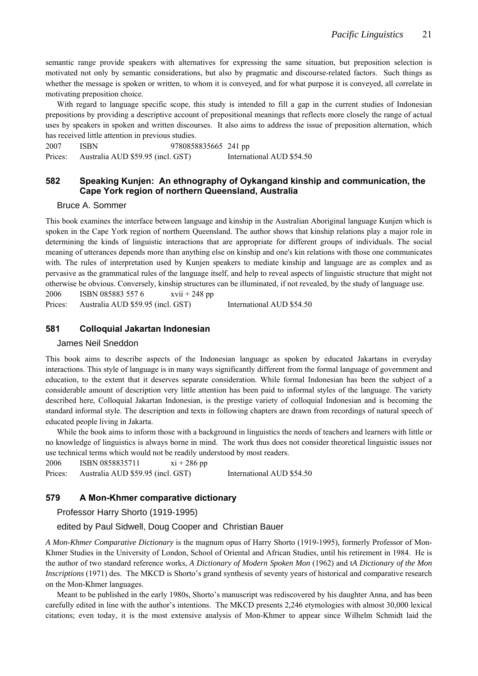semantic range provide speakers with alternatives for expressing the same situation, but preposition selection is motivated not only by semantic considerations, but also by pragmatic and discourse-related factors. Such things as whether the message is spoken or written, to whom it is conveyed, and for what purpose it is conveyed, all correlate in motivating preposition choice.

With regard to language specific scope, this study is intended to fill a gap in the current studies of Indonesian prepositions by providing a descriptive account of prepositional meanings that reflects more closely the range of actual uses by speakers in spoken and written discourses. It also aims to address the issue of preposition alternation, which has received little attention in previous studies.

2007 ISBN 9780858835665 241 pp Prices: Australia AUD \$59.95 (incl. GST) International AUD \$54.50

#### **582 Speaking Kunjen: An ethnography of Oykangand kinship and communication, the Cape York region of northern Queensland, Australia**

#### Bruce A. Sommer

This book examines the interface between language and kinship in the Australian Aboriginal language Kunjen which is spoken in the Cape York region of northern Queensland. The author shows that kinship relations play a major role in determining the kinds of linguistic interactions that are appropriate for different groups of individuals. The social meaning of utterances depends more than anything else on kinship and one's kin relations with those one communicates with. The rules of interpretation used by Kunjen speakers to mediate kinship and language are as complex and as pervasive as the grammatical rules of the language itself, and help to reveal aspects of linguistic structure that might not otherwise be obvious. Conversely, kinship structures can be illuminated, if not revealed, by the study of language use. 2006 ISBN 085883 557 6 xvii + 248 pp

Prices: Australia AUD \$59.95 (incl. GST) International AUD \$54.50

#### **581 Colloquial Jakartan Indonesian**

#### James Neil Sneddon

This book aims to describe aspects of the Indonesian language as spoken by educated Jakartans in everyday interactions. This style of language is in many ways significantly different from the formal language of government and education, to the extent that it deserves separate consideration. While formal Indonesian has been the subject of a considerable amount of description very little attention has been paid to informal styles of the language. The variety described here, Colloquial Jakartan Indonesian, is the prestige variety of colloquial Indonesian and is becoming the standard informal style. The description and texts in following chapters are drawn from recordings of natural speech of educated people living in Jakarta.

While the book aims to inform those with a background in linguistics the needs of teachers and learners with little or no knowledge of linguistics is always borne in mind. The work thus does not consider theoretical linguistic issues nor use technical terms which would not be readily understood by most readers.

2006 ISBN 0858835711 xi + 286 pp

Prices: Australia AUD \$59.95 (incl. GST) International AUD \$54.50

#### **579 A Mon-Khmer comparative dictionary**

Professor Harry Shorto (1919-1995)

#### edited by Paul Sidwell, Doug Cooper and Christian Bauer

*A Mon-Khmer Comparative Dictionary* is the magnum opus of Harry Shorto (1919-1995), formerly Professor of Mon-Khmer Studies in the University of London, School of Oriental and African Studies, until his retirement in 1984. He is the author of two standard reference works, *A Dictionary of Modern Spoken Mon* (1962) and t*A Dictionary of the Mon Inscriptions* (1971) des. The MKCD is Shorto's grand synthesis of seventy years of historical and comparative research on the Mon-Khmer languages.

Meant to be published in the early 1980s, Shorto's manuscript was rediscovered by his daughter Anna, and has been carefully edited in line with the author's intentions. The MKCD presents 2,246 etymologies with almost 30,000 lexical citations; even today, it is the most extensive analysis of Mon-Khmer to appear since Wilhelm Schmidt laid the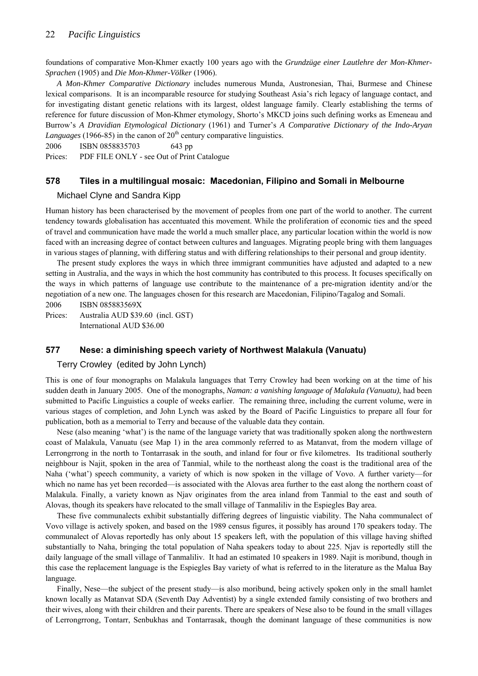foundations of comparative Mon-Khmer exactly 100 years ago with the *Grundzüge einer Lautlehre der Mon-Khmer-Sprachen* (1905) and *Die Mon-Khmer-Völker* (1906).

*A Mon-Khmer Comparative Dictionary* includes numerous Munda, Austronesian, Thai, Burmese and Chinese lexical comparisons. It is an incomparable resource for studying Southeast Asia's rich legacy of language contact, and for investigating distant genetic relations with its largest, oldest language family. Clearly establishing the terms of reference for future discussion of Mon-Khmer etymology, Shorto's MKCD joins such defining works as Emeneau and Burrow's *A Dravidian Etymological Dictionary* (1961) and Turner's *A Comparative Dictionary of the Indo-Aryan Languages* (1966-85) in the canon of  $20<sup>th</sup>$  century comparative linguistics.

2006 ISBN 0858835703 643 pp

Prices: PDF FILE ONLY - see Out of Print Catalogue

#### **578 Tiles in a multilingual mosaic: Macedonian, Filipino and Somali in Melbourne**

#### Michael Clyne and Sandra Kipp

Human history has been characterised by the movement of peoples from one part of the world to another. The current tendency towards globalisation has accentuated this movement. While the proliferation of economic ties and the speed of travel and communication have made the world a much smaller place, any particular location within the world is now faced with an increasing degree of contact between cultures and languages. Migrating people bring with them languages in various stages of planning, with differing status and with differing relationships to their personal and group identity.

The present study explores the ways in which three immigrant communities have adjusted and adapted to a new setting in Australia, and the ways in which the host community has contributed to this process. It focuses specifically on the ways in which patterns of language use contribute to the maintenance of a pre-migration identity and/or the negotiation of a new one. The languages chosen for this research are Macedonian, Filipino/Tagalog and Somali.

2006 ISBN 085883569X

Prices: Australia AUD \$39.60 (incl. GST) International AUD \$36.00

#### **577 Nese: a diminishing speech variety of Northwest Malakula (Vanuatu)**

#### Terry Crowley (edited by John Lynch)

This is one of four monographs on Malakula languages that Terry Crowley had been working on at the time of his sudden death in January 2005. One of the monographs, *Naman: a vanishing language of Malakula (Vanuatu)*, had been submitted to Pacific Linguistics a couple of weeks earlier. The remaining three, including the current volume, were in various stages of completion, and John Lynch was asked by the Board of Pacific Linguistics to prepare all four for publication, both as a memorial to Terry and because of the valuable data they contain.

Nese (also meaning 'what') is the name of the language variety that was traditionally spoken along the northwestern coast of Malakula, Vanuatu (see Map 1) in the area commonly referred to as Matanvat, from the modern village of Lerrongrrong in the north to Tontarrasak in the south, and inland for four or five kilometres. Its traditional southerly neighbour is Najit, spoken in the area of Tanmial, while to the northeast along the coast is the traditional area of the Naha ('what') speech community, a variety of which is now spoken in the village of Vovo. A further variety—for which no name has yet been recorded—is associated with the Alovas area further to the east along the northern coast of Malakula. Finally, a variety known as Njav originates from the area inland from Tanmial to the east and south of Alovas, though its speakers have relocated to the small village of Tanmaliliv in the Espiegles Bay area.

These five communalects exhibit substantially differing degrees of linguistic viability. The Naha communalect of Vovo village is actively spoken, and based on the 1989 census figures, it possibly has around 170 speakers today. The communalect of Alovas reportedly has only about 15 speakers left, with the population of this village having shifted substantially to Naha, bringing the total population of Naha speakers today to about 225. Njav is reportedly still the daily language of the small village of Tanmaliliv. It had an estimated 10 speakers in 1989. Najit is moribund, though in this case the replacement language is the Espiegles Bay variety of what is referred to in the literature as the Malua Bay language.

Finally, Nese—the subject of the present study—is also moribund, being actively spoken only in the small hamlet known locally as Matanvat SDA (Seventh Day Adventist) by a single extended family consisting of two brothers and their wives, along with their children and their parents. There are speakers of Nese also to be found in the small villages of Lerrongrrong, Tontarr, Senbukhas and Tontarrasak, though the dominant language of these communities is now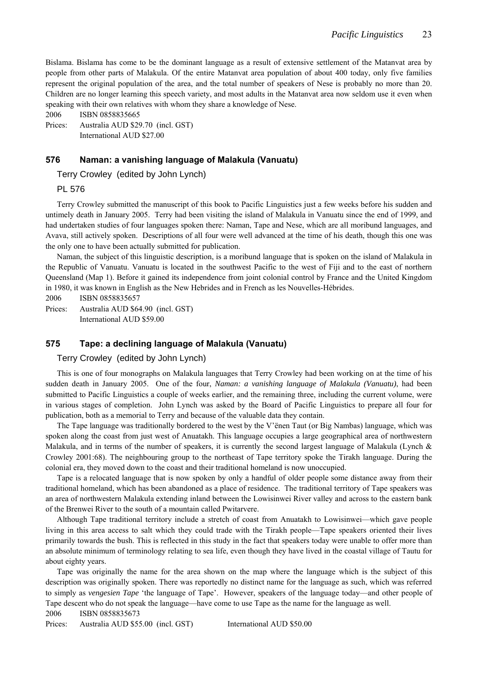Bislama. Bislama has come to be the dominant language as a result of extensive settlement of the Matanvat area by people from other parts of Malakula. Of the entire Matanvat area population of about 400 today, only five families represent the original population of the area, and the total number of speakers of Nese is probably no more than 20. Children are no longer learning this speech variety, and most adults in the Matanvat area now seldom use it even when speaking with their own relatives with whom they share a knowledge of Nese.

2006 ISBN 0858835665 Prices: Australia AUD \$29.70 (incl. GST)

International AUD \$27.00

#### **576 Naman: a vanishing language of Malakula (Vanuatu)**

Terry Crowley (edited by John Lynch)

PL 576

Terry Crowley submitted the manuscript of this book to Pacific Linguistics just a few weeks before his sudden and untimely death in January 2005. Terry had been visiting the island of Malakula in Vanuatu since the end of 1999, and had undertaken studies of four languages spoken there: Naman, Tape and Nese, which are all moribund languages, and Avava, still actively spoken. Descriptions of all four were well advanced at the time of his death, though this one was the only one to have been actually submitted for publication.

Naman, the subject of this linguistic description, is a moribund language that is spoken on the island of Malakula in the Republic of Vanuatu. Vanuatu is located in the southwest Pacific to the west of Fiji and to the east of northern Queensland (Map 1). Before it gained its independence from joint colonial control by France and the United Kingdom in 1980, it was known in English as the New Hebrides and in French as les Nouvelles-Hébrides.

2006 ISBN 0858835657

Prices: Australia AUD \$64.90 (incl. GST) International AUD \$59.00

#### **575 Tape: a declining language of Malakula (Vanuatu)**

Terry Crowley (edited by John Lynch)

This is one of four monographs on Malakula languages that Terry Crowley had been working on at the time of his sudden death in January 2005. One of the four, *Naman: a vanishing language of Malakula (Vanuatu)*, had been submitted to Pacific Linguistics a couple of weeks earlier, and the remaining three, including the current volume, were in various stages of completion. John Lynch was asked by the Board of Pacific Linguistics to prepare all four for publication, both as a memorial to Terry and because of the valuable data they contain.

The Tape language was traditionally bordered to the west by the V'ënen Taut (or Big Nambas) language, which was spoken along the coast from just west of Anuatakh. This language occupies a large geographical area of northwestern Malakula, and in terms of the number of speakers, it is currently the second largest language of Malakula (Lynch & Crowley 2001:68). The neighbouring group to the northeast of Tape territory spoke the Tirakh language. During the colonial era, they moved down to the coast and their traditional homeland is now unoccupied.

Tape is a relocated language that is now spoken by only a handful of older people some distance away from their traditional homeland, which has been abandoned as a place of residence. The traditional territory of Tape speakers was an area of northwestern Malakula extending inland between the Lowisinwei River valley and across to the eastern bank of the Brenwei River to the south of a mountain called Pwitarvere.

Although Tape traditional territory include a stretch of coast from Anuatakh to Lowisinwei—which gave people living in this area access to salt which they could trade with the Tirakh people—Tape speakers oriented their lives primarily towards the bush. This is reflected in this study in the fact that speakers today were unable to offer more than an absolute minimum of terminology relating to sea life, even though they have lived in the coastal village of Tautu for about eighty years.

Tape was originally the name for the area shown on the map where the language which is the subject of this description was originally spoken. There was reportedly no distinct name for the language as such, which was referred to simply as *vengesien Tape* 'the language of Tape'. However, speakers of the language today—and other people of Tape descent who do not speak the language—have come to use Tape as the name for the language as well.

2006 ISBN 0858835673

Prices: Australia AUD \$55.00 (incl. GST) International AUD \$50.00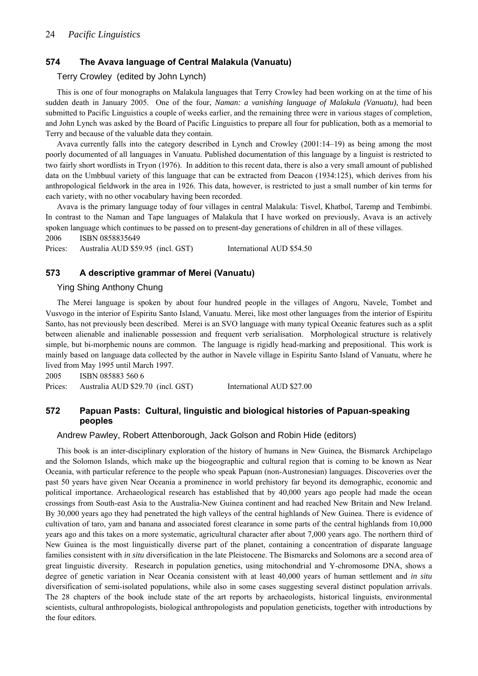#### **574 The Avava language of Central Malakula (Vanuatu)**

Terry Crowley (edited by John Lynch)

This is one of four monographs on Malakula languages that Terry Crowley had been working on at the time of his sudden death in January 2005. One of the four, *Naman: a vanishing language of Malakula (Vanuatu)*, had been submitted to Pacific Linguistics a couple of weeks earlier, and the remaining three were in various stages of completion, and John Lynch was asked by the Board of Pacific Linguistics to prepare all four for publication, both as a memorial to Terry and because of the valuable data they contain.

Avava currently falls into the category described in Lynch and Crowley (2001:14–19) as being among the most poorly documented of all languages in Vanuatu. Published documentation of this language by a linguist is restricted to two fairly short wordlists in Tryon (1976). In addition to this recent data, there is also a very small amount of published data on the Umbbuul variety of this language that can be extracted from Deacon (1934:125), which derives from his anthropological fieldwork in the area in 1926. This data, however, is restricted to just a small number of kin terms for each variety, with no other vocabulary having been recorded.

Avava is the primary language today of four villages in central Malakula: Tisvel, Khatbol, Taremp and Tembimbi. In contrast to the Naman and Tape languages of Malakula that I have worked on previously, Avava is an actively spoken language which continues to be passed on to present-day generations of children in all of these villages. 2006 ISBN 0858835649

Prices: Australia AUD \$59.95 (incl. GST) International AUD \$54.50

#### **573 A descriptive grammar of Merei (Vanuatu)**

#### Ying Shing Anthony Chung

The Merei language is spoken by about four hundred people in the villages of Angoru, Navele, Tombet and Vusvogo in the interior of Espiritu Santo Island, Vanuatu. Merei, like most other languages from the interior of Espiritu Santo, has not previously been described. Merei is an SVO language with many typical Oceanic features such as a split between alienable and inalienable possession and frequent verb serialisation. Morphological structure is relatively simple, but bi-morphemic nouns are common. The language is rigidly head-marking and prepositional. This work is mainly based on language data collected by the author in Navele village in Espiritu Santo Island of Vanuatu, where he lived from May 1995 until March 1997.

2005 ISBN 085883 560 6

Prices: Australia AUD \$29.70 (incl. GST) International AUD \$27.00

#### **572 Papuan Pasts: Cultural, linguistic and biological histories of Papuan-speaking peoples**

#### Andrew Pawley, Robert Attenborough, Jack Golson and Robin Hide (editors)

This book is an inter-disciplinary exploration of the history of humans in New Guinea, the Bismarck Archipelago and the Solomon Islands, which make up the biogeographic and cultural region that is coming to be known as Near Oceania, with particular reference to the people who speak Papuan (non-Austronesian) languages. Discoveries over the past 50 years have given Near Oceania a prominence in world prehistory far beyond its demographic, economic and political importance. Archaeological research has established that by 40,000 years ago people had made the ocean crossings from South-east Asia to the Australia-New Guinea continent and had reached New Britain and New Ireland. By 30,000 years ago they had penetrated the high valleys of the central highlands of New Guinea. There is evidence of cultivation of taro, yam and banana and associated forest clearance in some parts of the central highlands from 10,000 years ago and this takes on a more systematic, agricultural character after about 7,000 years ago. The northern third of New Guinea is the most linguistically diverse part of the planet, containing a concentration of disparate language families consistent with *in situ* diversification in the late Pleistocene. The Bismarcks and Solomons are a second area of great linguistic diversity. Research in population genetics, using mitochondrial and Y-chromosome DNA, shows a degree of genetic variation in Near Oceania consistent with at least 40,000 years of human settlement and *in situ*  diversification of semi-isolated populations, while also in some cases suggesting several distinct population arrivals. The 28 chapters of the book include state of the art reports by archaeologists, historical linguists, environmental scientists, cultural anthropologists, biological anthropologists and population geneticists, together with introductions by the four editors.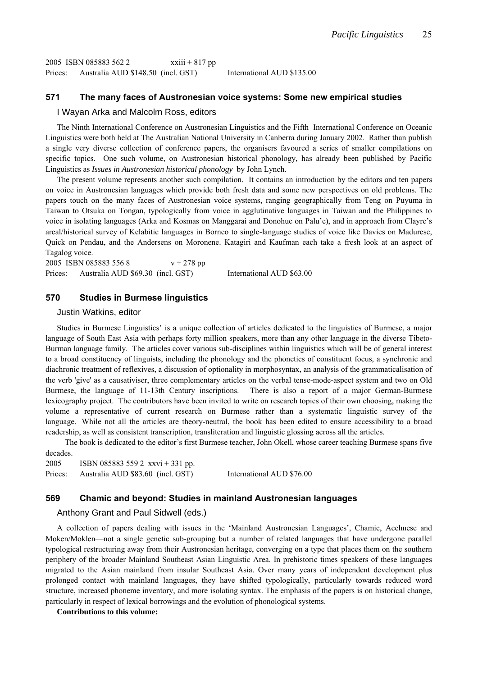2005 ISBN 085883 562 2 xxiii + 817 pp Prices: Australia AUD \$148.50 (incl. GST) International AUD \$135.00

#### **571 The many faces of Austronesian voice systems: Some new empirical studies**

#### I Wayan Arka and Malcolm Ross, editors

The Ninth International Conference on Austronesian Linguistics and the Fifth International Conference on Oceanic Linguistics were both held at The Australian National University in Canberra during January 2002. Rather than publish a single very diverse collection of conference papers, the organisers favoured a series of smaller compilations on specific topics. One such volume, on Austronesian historical phonology, has already been published by Pacific Linguistics as *Issues in Austronesian historical phonology* by John Lynch.

The present volume represents another such compilation. It contains an introduction by the editors and ten papers on voice in Austronesian languages which provide both fresh data and some new perspectives on old problems. The papers touch on the many faces of Austronesian voice systems, ranging geographically from Teng on Puyuma in Taiwan to Otsuka on Tongan, typologically from voice in agglutinative languages in Taiwan and the Philippines to voice in isolating languages (Arka and Kosmas on Manggarai and Donohue on Palu'e), and in approach from Clayre's areal/historical survey of Kelabitic languages in Borneo to single-language studies of voice like Davies on Madurese, Quick on Pendau, and the Andersens on Moronene. Katagiri and Kaufman each take a fresh look at an aspect of Tagalog voice.

2005 ISBN 085883 556 8 v + 278 pp Prices: Australia AUD \$69.30 (incl. GST) International AUD \$63.00

#### **570 Studies in Burmese linguistics**

#### Justin Watkins, editor

Studies in Burmese Linguistics' is a unique collection of articles dedicated to the linguistics of Burmese, a major language of South East Asia with perhaps forty million speakers, more than any other language in the diverse Tibeto-Burman language family. The articles cover various sub-disciplines within linguistics which will be of general interest to a broad constituency of linguists, including the phonology and the phonetics of constituent focus, a synchronic and diachronic treatment of reflexives, a discussion of optionality in morphosyntax, an analysis of the grammaticalisation of the verb 'give' as a causativiser, three complementary articles on the verbal tense-mode-aspect system and two on Old Burmese, the language of 11-13th Century inscriptions. There is also a report of a major German-Burmese lexicography project. The contributors have been invited to write on research topics of their own choosing, making the volume a representative of current research on Burmese rather than a systematic linguistic survey of the language. While not all the articles are theory-neutral, the book has been edited to ensure accessibility to a broad readership, as well as consistent transcription, transliteration and linguistic glossing across all the articles.

The book is dedicated to the editor's first Burmese teacher, John Okell, whose career teaching Burmese spans five

decades. 2005 ISBN 085883 559 2 xxvi + 331 pp. Prices: Australia AUD \$83.60 (incl. GST) International AUD \$76.00

#### **569 Chamic and beyond: Studies in mainland Austronesian languages**

#### Anthony Grant and Paul Sidwell (eds.)

A collection of papers dealing with issues in the 'Mainland Austronesian Languages', Chamic, Acehnese and Moken/Moklen—not a single genetic sub-grouping but a number of related languages that have undergone parallel typological restructuring away from their Austronesian heritage, converging on a type that places them on the southern periphery of the broader Mainland Southeast Asian Linguistic Area. In prehistoric times speakers of these languages migrated to the Asian mainland from insular Southeast Asia. Over many years of independent development plus prolonged contact with mainland languages, they have shifted typologically, particularly towards reduced word structure, increased phoneme inventory, and more isolating syntax. The emphasis of the papers is on historical change, particularly in respect of lexical borrowings and the evolution of phonological systems.

**Contributions to this volume:**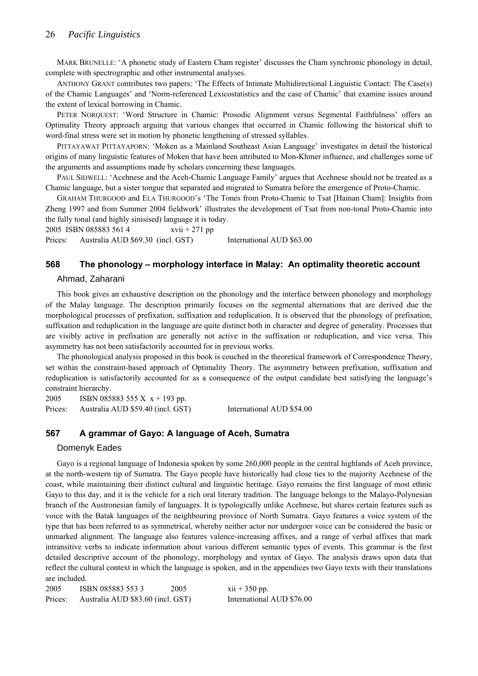MARK BRUNELLE: 'A phonetic study of Eastern Cham register' discusses the Cham synchronic phonology in detail, complete with spectrographic and other instrumental analyses.

ANTHONY GRANT contributes two papers: 'The Effects of Intimate Multidirectional Linguistic Contact: The Case(s) of the Chamic Languages' and 'Norm-referenced Lexicostatistics and the case of Chamic' that examine issues around the extent of lexical borrowing in Chamic.

PETER NORQUEST: 'Word Structure in Chamic: Prosodic Alignment versus Segmental Faithfulness' offers an Optimality Theory approach arguing that various changes that occurred in Chamic following the historical shift to word-final stress were set in motion by phonetic lengthening of stressed syllables.

PITTAYAWAT PITTAYAPORN: 'Moken as a Mainland Southeast Asian Language' investigates in detail the historical origins of many linguistic features of Moken that have been attributed to Mon-Khmer influence, and challenges some of the arguments and assumptions made by scholars concerning these languages.

PAUL SIDWELL: 'Acehnese and the Aceh-Chamic Language Family' argues that Acehnese should not be treated as a Chamic language, but a sister tongue that separated and migrated to Sumatra before the emergence of Proto-Chamic.

GRAHAM THURGOOD and ELA THURGOOD's 'The Tones from Proto-Chamic to Tsat [Hainan Cham]: Insights from Zheng 1997 and from Summer 2004 fieldwork' illustrates the development of Tsat from non-tonal Proto-Chamic into the fully tonal (and highly sinisised) language it is today.

2005 ISBN 085883 561 4 xvii + 271 pp Prices: Australia AUD \$69.30 (incl. GST) International AUD \$63.00

#### **568 The phonology – morphology interface in Malay: An optimality theoretic account**

#### Ahmad, Zaharani

This book gives an exhaustive description on the phonology and the interface between phonology and morphology of the Malay language. The description primarily focuses on the segmental alternations that are derived due the morphological processes of prefixation, suffixation and reduplication. It is observed that the phonology of prefixation, suffixation and reduplication in the language are quite distinct both in character and degree of generality. Processes that are visibly active in prefixation are generally not active in the suffixation or reduplication, and vice versa. This asymmetry has not been satisfactorily accounted for in previous works.

The phonological analysis proposed in this book is couched in the theoretical framework of Correspondence Theory, set within the constraint-based approach of Optimality Theory. The asymmetry between prefixation, suffixation and reduplication is satisfactorily accounted for as a consequence of the output candidate best satisfying the language's constraint hierarchy.

2005 ISBN 085883 555 X x + 193 pp. Prices: Australia AUD \$59.40 (incl. GST) International AUD \$54.00

#### **567 A grammar of Gayo: A language of Aceh, Sumatra**

#### Domenyk Eades

Gayo is a regional language of Indonesia spoken by some 260,000 people in the central highlands of Aceh province, at the north-western tip of Sumatra. The Gayo people have historically had close ties to the majority Acehnese of the coast, while maintaining their distinct cultural and linguistic heritage. Gayo remains the first language of most ethnic Gayo to this day, and it is the vehicle for a rich oral literary tradition. The language belongs to the Malayo-Polynesian branch of the Austronesian family of languages. It is typologically unlike Acehnese, but shares certain features such as voice with the Batak languages of the neighbouring province of North Sumatra. Gayo features a voice system of the type that has been referred to as symmetrical, whereby neither actor nor undergoer voice can be considered the basic or unmarked alignment. The language also features valence-increasing affixes, and a range of verbal affixes that mark intransitive verbs to indicate information about various different semantic types of events. This grammar is the first detailed descriptive account of the phonology, morphology and syntax of Gayo. The analysis draws upon data that reflect the cultural context in which the language is spoken, and in the appendices two Gayo texts with their translations are included.

2005 ISBN 085883 553 3 2005 xii + 350 pp. Prices: Australia AUD \$83.60 (incl. GST) International AUD \$76.00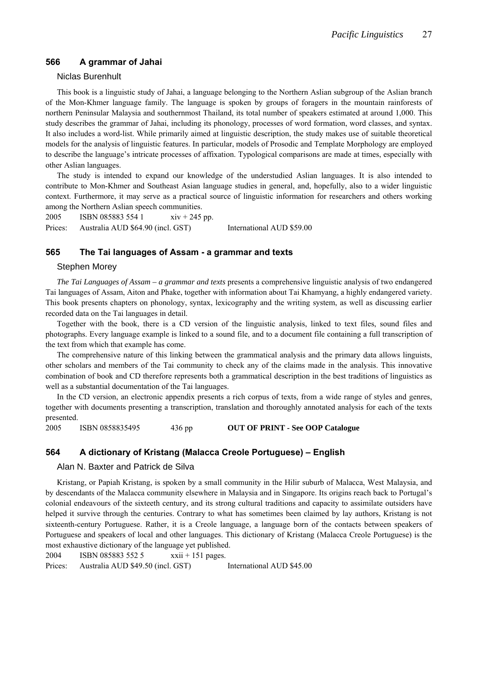#### **566 A grammar of Jahai**

#### Niclas Burenhult

This book is a linguistic study of Jahai, a language belonging to the Northern Aslian subgroup of the Aslian branch of the Mon-Khmer language family. The language is spoken by groups of foragers in the mountain rainforests of northern Peninsular Malaysia and southernmost Thailand, its total number of speakers estimated at around 1,000. This study describes the grammar of Jahai, including its phonology, processes of word formation, word classes, and syntax. It also includes a word-list. While primarily aimed at linguistic description, the study makes use of suitable theoretical models for the analysis of linguistic features. In particular, models of Prosodic and Template Morphology are employed to describe the language's intricate processes of affixation. Typological comparisons are made at times, especially with other Aslian languages.

The study is intended to expand our knowledge of the understudied Aslian languages. It is also intended to contribute to Mon-Khmer and Southeast Asian language studies in general, and, hopefully, also to a wider linguistic context. Furthermore, it may serve as a practical source of linguistic information for researchers and others working among the Northern Aslian speech communities.

2005 ISBN 085883 554 1 xiv + 245 pp. Prices: Australia AUD \$64.90 (incl. GST) International AUD \$59.00

#### **565 The Tai languages of Assam - a grammar and texts**

#### Stephen Morey

*The Tai Languages of Assam – a grammar and texts* presents a comprehensive linguistic analysis of two endangered Tai languages of Assam, Aiton and Phake, together with information about Tai Khamyang, a highly endangered variety. This book presents chapters on phonology, syntax, lexicography and the writing system, as well as discussing earlier recorded data on the Tai languages in detail.

Together with the book, there is a CD version of the linguistic analysis, linked to text files, sound files and photographs. Every language example is linked to a sound file, and to a document file containing a full transcription of the text from which that example has come.

The comprehensive nature of this linking between the grammatical analysis and the primary data allows linguists, other scholars and members of the Tai community to check any of the claims made in the analysis. This innovative combination of book and CD therefore represents both a grammatical description in the best traditions of linguistics as well as a substantial documentation of the Tai languages.

In the CD version, an electronic appendix presents a rich corpus of texts, from a wide range of styles and genres, together with documents presenting a transcription, translation and thoroughly annotated analysis for each of the texts presented.

2005 ISBN 0858835495 436 pp **OUT OF PRINT - See OOP Catalogue** 

#### **564 A dictionary of Kristang (Malacca Creole Portuguese) – English**

#### Alan N. Baxter and Patrick de Silva

Kristang, or Papiah Kristang, is spoken by a small community in the Hilir suburb of Malacca, West Malaysia, and by descendants of the Malacca community elsewhere in Malaysia and in Singapore. Its origins reach back to Portugal's colonial endeavours of the sixteeth century, and its strong cultural traditions and capacity to assimilate outsiders have helped it survive through the centuries. Contrary to what has sometimes been claimed by lay authors, Kristang is not sixteenth-century Portuguese. Rather, it is a Creole language, a language born of the contacts between speakers of Portuguese and speakers of local and other languages. This dictionary of Kristang (Malacca Creole Portuguese) is the most exhaustive dictionary of the language yet published.

2004 ISBN 085883 552 5 xxii + 151 pages.

Prices: Australia AUD \$49.50 (incl. GST) International AUD \$45.00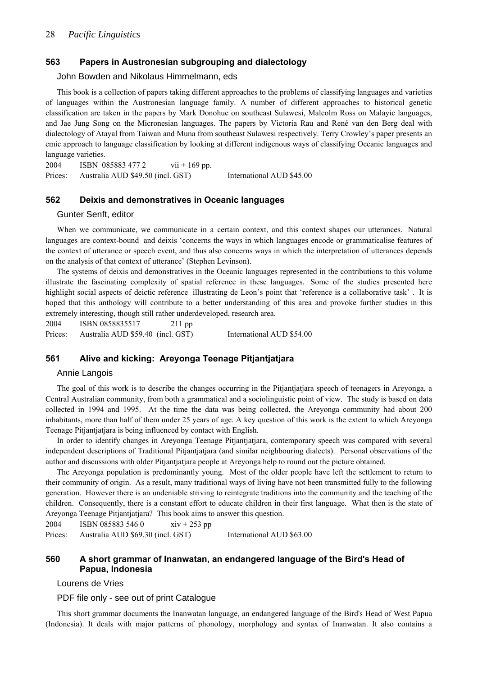#### **563 Papers in Austronesian subgrouping and dialectology**

#### John Bowden and Nikolaus Himmelmann, eds

This book is a collection of papers taking different approaches to the problems of classifying languages and varieties of languages within the Austronesian language family. A number of different approaches to historical genetic classification are taken in the papers by Mark Donohue on southeast Sulawesi, Malcolm Ross on Malayic languages, and Jae Jung Song on the Micronesian languages. The papers by Victoria Rau and René van den Berg deal with dialectology of Atayal from Taiwan and Muna from southeast Sulawesi respectively. Terry Crowley's paper presents an emic approach to language classification by looking at different indigenous ways of classifying Oceanic languages and language varieties.

2004 ISBN 085883 477 2 vii + 169 pp. Prices: Australia AUD \$49.50 (incl. GST) International AUD \$45.00

#### **562 Deixis and demonstratives in Oceanic languages**

#### Gunter Senft, editor

When we communicate, we communicate in a certain context, and this context shapes our utterances. Natural languages are context-bound and deixis 'concerns the ways in which languages encode or grammaticalise features of the context of utterance or speech event, and thus also concerns ways in which the interpretation of utterances depends on the analysis of that context of utterance' (Stephen Levinson).

The systems of deixis and demonstratives in the Oceanic languages represented in the contributions to this volume illustrate the fascinating complexity of spatial reference in these languages. Some of the studies presented here highlight social aspects of deictic reference illustrating de Leon's point that 'reference is a collaborative task'. It is hoped that this anthology will contribute to a better understanding of this area and provoke further studies in this extremely interesting, though still rather underdeveloped, research area.

| 2004    | ISBN 0858835517                   | $211$ pp |                           |
|---------|-----------------------------------|----------|---------------------------|
| Prices: | Australia AUD \$59.40 (incl. GST) |          | International AUD \$54.00 |

#### **561 Alive and kicking: Areyonga Teenage Pitjantjatjara**

#### Annie Langois

The goal of this work is to describe the changes occurring in the Pitjantjatjara speech of teenagers in Areyonga, a Central Australian community, from both a grammatical and a sociolinguistic point of view. The study is based on data collected in 1994 and 1995. At the time the data was being collected, the Areyonga community had about 200 inhabitants, more than half of them under 25 years of age. A key question of this work is the extent to which Areyonga Teenage Pitjantjatjara is being influenced by contact with English.

In order to identify changes in Areyonga Teenage Pitjantjatjara, contemporary speech was compared with several independent descriptions of Traditional Pitjantjatjara (and similar neighbouring dialects). Personal observations of the author and discussions with older Pitjantjatjara people at Areyonga help to round out the picture obtained.

The Areyonga population is predominantly young. Most of the older people have left the settlement to return to their community of origin. As a result, many traditional ways of living have not been transmitted fully to the following generation. However there is an undeniable striving to reintegrate traditions into the community and the teaching of the children. Consequently, there is a constant effort to educate children in their first language. What then is the state of Areyonga Teenage Pitjantjatjara? This book aims to answer this question.

2004 ISBN 085883 546 0 xiv + 253 pp

Prices: Australia AUD \$69.30 (incl. GST) International AUD \$63.00

#### **560 A short grammar of Inanwatan, an endangered language of the Bird's Head of Papua, Indonesia**

Lourens de Vries

PDF file only - see out of print Catalogue

This short grammar documents the Inanwatan language, an endangered language of the Bird's Head of West Papua (Indonesia). It deals with major patterns of phonology, morphology and syntax of Inanwatan. It also contains a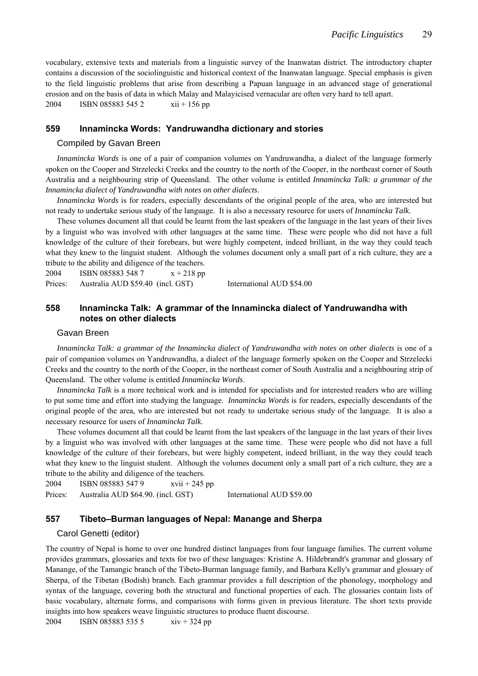vocabulary, extensive texts and materials from a linguistic survey of the Inanwatan district. The introductory chapter contains a discussion of the sociolinguistic and historical context of the Inanwatan language. Special emphasis is given to the field linguistic problems that arise from describing a Papuan language in an advanced stage of generational erosion and on the basis of data in which Malay and Malayicised vernacular are often very hard to tell apart.

2004 ISBN 085883 545 2 xii + 156 pp

#### **559 Innamincka Words: Yandruwandha dictionary and stories**

#### Compiled by Gavan Breen

*Innamincka Words* is one of a pair of companion volumes on Yandruwandha, a dialect of the language formerly spoken on the Cooper and Strzelecki Creeks and the country to the north of the Cooper, in the northeast corner of South Australia and a neighbouring strip of Queensland. The other volume is entitled *Innamincka Talk: a grammar of the Innamincka dialect of Yandruwandha with notes on other dialects*.

*Innamincka Words* is for readers, especially descendants of the original people of the area, who are interested but not ready to undertake serious study of the language. It is also a necessary resource for users of *Innamincka Talk*.

These volumes document all that could be learnt from the last speakers of the language in the last years of their lives by a linguist who was involved with other languages at the same time. These were people who did not have a full knowledge of the culture of their forebears, but were highly competent, indeed brilliant, in the way they could teach what they knew to the linguist student. Although the volumes document only a small part of a rich culture, they are a tribute to the ability and diligence of the teachers.

| 2004    | ISBN 085883 548 7                 | $x + 218$ pp |                           |
|---------|-----------------------------------|--------------|---------------------------|
| Prices: | Australia AUD \$59.40 (incl. GST) |              | International AUD \$54.00 |

#### **558 Innamincka Talk: A grammar of the Innamincka dialect of Yandruwandha with notes on other dialects**

#### Gavan Breen

*Innamincka Talk: a grammar of the Innamincka dialect of Yandruwandha with notes on other dialects* is one of a pair of companion volumes on Yandruwandha, a dialect of the language formerly spoken on the Cooper and Strzelecki Creeks and the country to the north of the Cooper, in the northeast corner of South Australia and a neighbouring strip of Queensland. The other volume is entitled *Innamincka Words*.

*Innamincka Talk* is a more technical work and is intended for specialists and for interested readers who are willing to put some time and effort into studying the language. *Innamincka Words* is for readers, especially descendants of the original people of the area, who are interested but not ready to undertake serious study of the language. It is also a necessary resource for users of *Innamincka Talk*.

These volumes document all that could be learnt from the last speakers of the language in the last years of their lives by a linguist who was involved with other languages at the same time. These were people who did not have a full knowledge of the culture of their forebears, but were highly competent, indeed brilliant, in the way they could teach what they knew to the linguist student. Although the volumes document only a small part of a rich culture, they are a tribute to the ability and diligence of the teachers.

| 2004    | ISBN 085883 5479                   | $xvi' + 245$ pp |                           |
|---------|------------------------------------|-----------------|---------------------------|
| Prices: | Australia AUD \$64.90. (incl. GST) |                 | International AUD \$59.00 |

#### **557 Tibeto–Burman languages of Nepal: Manange and Sherpa**

#### Carol Genetti (editor)

The country of Nepal is home to over one hundred distinct languages from four language families. The current volume provides grammars, glossaries and texts for two of these languages: Kristine A. Hildebrandt's grammar and glossary of Manange, of the Tamangic branch of the Tibeto-Burman language family, and Barbara Kelly's grammar and glossary of Sherpa, of the Tibetan (Bodish) branch. Each grammar provides a full description of the phonology, morphology and syntax of the language, covering both the structural and functional properties of each. The glossaries contain lists of basic vocabulary, alternate forms, and comparisons with forms given in previous literature. The short texts provide insights into how speakers weave linguistic structures to produce fluent discourse.

2004 ISBN 085883 535 5 xiv + 324 pp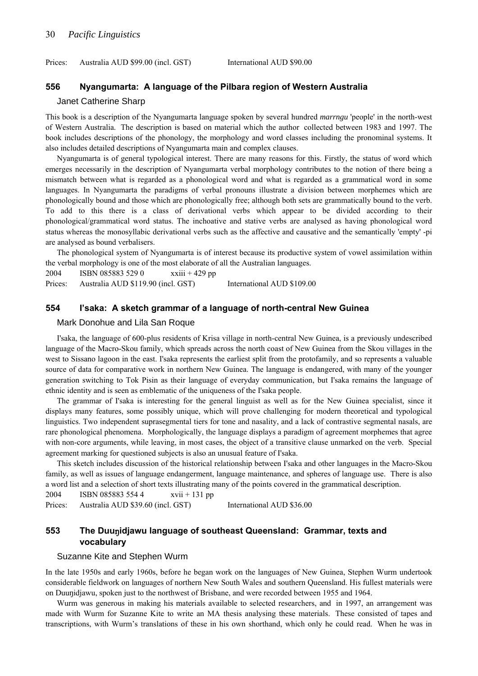Prices: Australia AUD \$99.00 (incl. GST) International AUD \$90.00

#### **556 Nyangumarta: A language of the Pilbara region of Western Australia**

#### Janet Catherine Sharp

This book is a description of the Nyangumarta language spoken by several hundred *marrngu* 'people' in the north-west of Western Australia. The description is based on material which the author collected between 1983 and 1997. The book includes descriptions of the phonology, the morphology and word classes including the pronominal systems. It also includes detailed descriptions of Nyangumarta main and complex clauses.

Nyangumarta is of general typological interest. There are many reasons for this. Firstly, the status of word which emerges necessarily in the description of Nyangumarta verbal morphology contributes to the notion of there being a mismatch between what is regarded as a phonological word and what is regarded as a grammatical word in some languages. In Nyangumarta the paradigms of verbal pronouns illustrate a division between morphemes which are phonologically bound and those which are phonologically free; although both sets are grammatically bound to the verb. To add to this there is a class of derivational verbs which appear to be divided according to their phonological/grammatical word status. The inchoative and stative verbs are analysed as having phonological word status whereas the monosyllabic derivational verbs such as the affective and causative and the semantically 'empty' -pi are analysed as bound verbalisers.

The phonological system of Nyangumarta is of interest because its productive system of vowel assimilation within the verbal morphology is one of the most elaborate of all the Australian languages.

2004 ISBN 085883 529 0 xxiii + 429 pp

Prices: Australia AUD \$119.90 (incl. GST) International AUD \$109.00

#### **554 I'saka: A sketch grammar of a language of north-central New Guinea**

#### Mark Donohue and Lila San Roque

I'saka, the language of 600-plus residents of Krisa village in north-central New Guinea, is a previously undescribed language of the Macro-Skou family, which spreads across the north coast of New Guinea from the Skou villages in the west to Sissano lagoon in the east. I'saka represents the earliest split from the protofamily, and so represents a valuable source of data for comparative work in northern New Guinea. The language is endangered, with many of the younger generation switching to Tok Pisin as their language of everyday communication, but I'saka remains the language of ethnic identity and is seen as emblematic of the uniqueness of the I'saka people.

The grammar of I'saka is interesting for the general linguist as well as for the New Guinea specialist, since it displays many features, some possibly unique, which will prove challenging for modern theoretical and typological linguistics. Two independent suprasegmental tiers for tone and nasality, and a lack of contrastive segmental nasals, are rare phonological phenomena. Morphologically, the language displays a paradigm of agreement morphemes that agree with non-core arguments, while leaving, in most cases, the object of a transitive clause unmarked on the verb. Special agreement marking for questioned subjects is also an unusual feature of I'saka.

This sketch includes discussion of the historical relationship between I'saka and other languages in the Macro-Skou family, as well as issues of language endangerment, language maintenance, and spheres of language use. There is also a word list and a selection of short texts illustrating many of the points covered in the grammatical description.

2004 ISBN 085883 554 4 xvii + 131 pp

Prices: Australia AUD \$39.60 (incl. GST) International AUD \$36.00

#### **553 The Duuidjawu language of southeast Queensland: Grammar, texts and vocabulary**

#### Suzanne Kite and Stephen Wurm

In the late 1950s and early 1960s, before he began work on the languages of New Guinea, Stephen Wurm undertook considerable fieldwork on languages of northern New South Wales and southern Queensland. His fullest materials were on Duuidjawu, spoken just to the northwest of Brisbane, and were recorded between 1955 and 1964.

Wurm was generous in making his materials available to selected researchers, and in 1997, an arrangement was made with Wurm for Suzanne Kite to write an MA thesis analysing these materials. These consisted of tapes and transcriptions, with Wurm's translations of these in his own shorthand, which only he could read. When he was in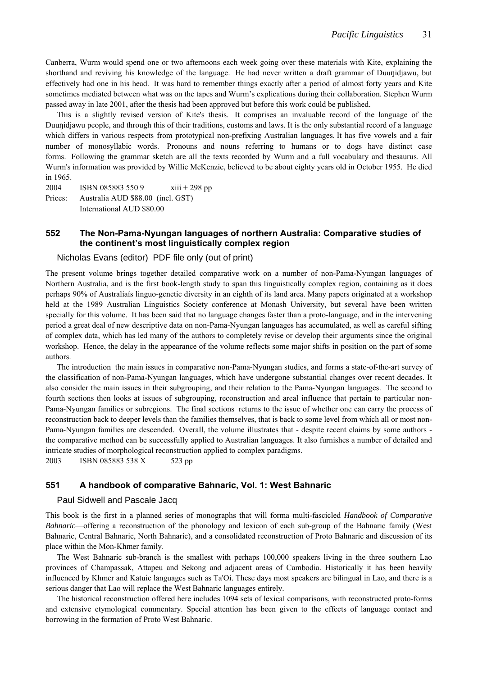Canberra, Wurm would spend one or two afternoons each week going over these materials with Kite, explaining the shorthand and reviving his knowledge of the language. He had never written a draft grammar of Duunidjawu, but effectively had one in his head. It was hard to remember things exactly after a period of almost forty years and Kite sometimes mediated between what was on the tapes and Wurm's explications during their collaboration. Stephen Wurm passed away in late 2001, after the thesis had been approved but before this work could be published.

This is a slightly revised version of Kite's thesis. It comprises an invaluable record of the language of the Duunidjawu people, and through this of their traditions, customs and laws. It is the only substantial record of a language which differs in various respects from prototypical non-prefixing Australian languages. It has five vowels and a fair number of monosyllabic words. Pronouns and nouns referring to humans or to dogs have distinct case forms. Following the grammar sketch are all the texts recorded by Wurm and a full vocabulary and thesaurus. All Wurm's information was provided by Willie McKenzie, believed to be about eighty years old in October 1955. He died in 1965.

2004 ISBN 085883 550 9 xiii + 298 pp Prices: Australia AUD \$88.00 (incl. GST) International AUD \$80.00

#### **552 The Non-Pama-Nyungan languages of northern Australia: Comparative studies of the continent's most linguistically complex region**

Nicholas Evans (editor) PDF file only (out of print)

The present volume brings together detailed comparative work on a number of non-Pama-Nyungan languages of Northern Australia, and is the first book-length study to span this linguistically complex region, containing as it does perhaps 90% of Australiaís linguo-genetic diversity in an eighth of its land area. Many papers originated at a workshop held at the 1989 Australian Linguistics Society conference at Monash University, but several have been written specially for this volume. It has been said that no language changes faster than a proto-language, and in the intervening period a great deal of new descriptive data on non-Pama-Nyungan languages has accumulated, as well as careful sifting of complex data, which has led many of the authors to completely revise or develop their arguments since the original workshop. Hence, the delay in the appearance of the volume reflects some major shifts in position on the part of some authors.

The introduction the main issues in comparative non-Pama-Nyungan studies, and forms a state-of-the-art survey of the classification of non-Pama-Nyungan languages, which have undergone substantial changes over recent decades. It also consider the main issues in their subgrouping, and their relation to the Pama-Nyungan languages. The second to fourth sections then looks at issues of subgrouping, reconstruction and areal influence that pertain to particular non-Pama-Nyungan families or subregions. The final sections returns to the issue of whether one can carry the process of reconstruction back to deeper levels than the families themselves, that is back to some level from which all or most non-Pama-Nyungan families are descended. Overall, the volume illustrates that - despite recent claims by some authors the comparative method can be successfully applied to Australian languages. It also furnishes a number of detailed and intricate studies of morphological reconstruction applied to complex paradigms.

2003 ISBN 085883 538 X 523 pp

#### **551 A handbook of comparative Bahnaric, Vol. 1: West Bahnaric**

#### Paul Sidwell and Pascale Jacq

This book is the first in a planned series of monographs that will forma multi-fascicled *Handbook of Comparative Bahnaric*—offering a reconstruction of the phonology and lexicon of each sub-group of the Bahnaric family (West Bahnaric, Central Bahnaric, North Bahnaric), and a consolidated reconstruction of Proto Bahnaric and discussion of its place within the Mon-Khmer family.

The West Bahnaric sub-branch is the smallest with perhaps 100,000 speakers living in the three southern Lao provinces of Champassak, Attapeu and Sekong and adjacent areas of Cambodia. Historically it has been heavily influenced by Khmer and Katuic languages such as Ta'Oi. These days most speakers are bilingual in Lao, and there is a serious danger that Lao will replace the West Bahnaric languages entirely.

The historical reconstruction offered here includes 1094 sets of lexical comparisons, with reconstructed proto-forms and extensive etymological commentary. Special attention has been given to the effects of language contact and borrowing in the formation of Proto West Bahnaric.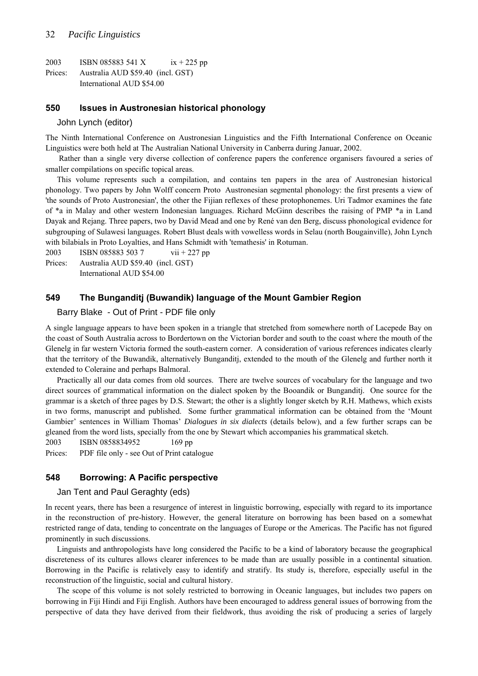```
2003 ISBN 085883 541 X ix + 225 pp
Prices: Australia AUD $59.40 (incl. GST) 
          International AUD $54.00
```
#### **550 Issues in Austronesian historical phonology**

#### John Lynch (editor)

The Ninth International Conference on Austronesian Linguistics and the Fifth International Conference on Oceanic Linguistics were both held at The Australian National University in Canberra during Januar, 2002.

 Rather than a single very diverse collection of conference papers the conference organisers favoured a series of smaller compilations on specific topical areas.

This volume represents such a compilation, and contains ten papers in the area of Austronesian historical phonology. Two papers by John Wolff concern Proto Austronesian segmental phonology: the first presents a view of 'the sounds of Proto Austronesian', the other the Fijian reflexes of these protophonemes. Uri Tadmor examines the fate of \*a in Malay and other western Indonesian languages. Richard McGinn describes the raising of PMP \*a in Land Dayak and Rejang. Three papers, two by David Mead and one by René van den Berg, discuss phonological evidence for subgrouping of Sulawesi languages. Robert Blust deals with vowelless words in Selau (north Bougainville), John Lynch with bilabials in Proto Loyalties, and Hans Schmidt with 'temathesis' in Rotuman.

2003 ISBN 085883 503 7 vii + 227 pp Prices: Australia AUD \$59.40 (incl. GST) International AUD \$54.00

#### **549 The Bunganditj (Buwandik) language of the Mount Gambier Region**

#### Barry Blake - Out of Print - PDF file only

A single language appears to have been spoken in a triangle that stretched from somewhere north of Lacepede Bay on the coast of South Australia across to Bordertown on the Victorian border and south to the coast where the mouth of the Glenelg in far western Victoria formed the south-eastern corner. A consideration of various references indicates clearly that the territory of the Buwandik, alternatively Bunganditj, extended to the mouth of the Glenelg and further north it extended to Coleraine and perhaps Balmoral.

Practically all our data comes from old sources. There are twelve sources of vocabulary for the language and two direct sources of grammatical information on the dialect spoken by the Booandik or Bunganditj. One source for the grammar is a sketch of three pages by D.S. Stewart; the other is a slightly longer sketch by R.H. Mathews, which exists in two forms, manuscript and published. Some further grammatical information can be obtained from the 'Mount Gambier' sentences in William Thomas' *Dialogues in six dialects* (details below), and a few further scraps can be gleaned from the word lists, specially from the one by Stewart which accompanies his grammatical sketch.

2003 ISBN 0858834952 169 pp

Prices: PDF file only - see Out of Print catalogue

#### **548 Borrowing: A Pacific perspective**

#### Jan Tent and Paul Geraghty (eds)

In recent years, there has been a resurgence of interest in linguistic borrowing, especially with regard to its importance in the reconstruction of pre-history. However, the general literature on borrowing has been based on a somewhat restricted range of data, tending to concentrate on the languages of Europe or the Americas. The Pacific has not figured prominently in such discussions.

Linguists and anthropologists have long considered the Pacific to be a kind of laboratory because the geographical discreteness of its cultures allows clearer inferences to be made than are usually possible in a continental situation. Borrowing in the Pacific is relatively easy to identify and stratify. Its study is, therefore, especially useful in the reconstruction of the linguistic, social and cultural history.

The scope of this volume is not solely restricted to borrowing in Oceanic languages, but includes two papers on borrowing in Fiji Hindi and Fiji English. Authors have been encouraged to address general issues of borrowing from the perspective of data they have derived from their fieldwork, thus avoiding the risk of producing a series of largely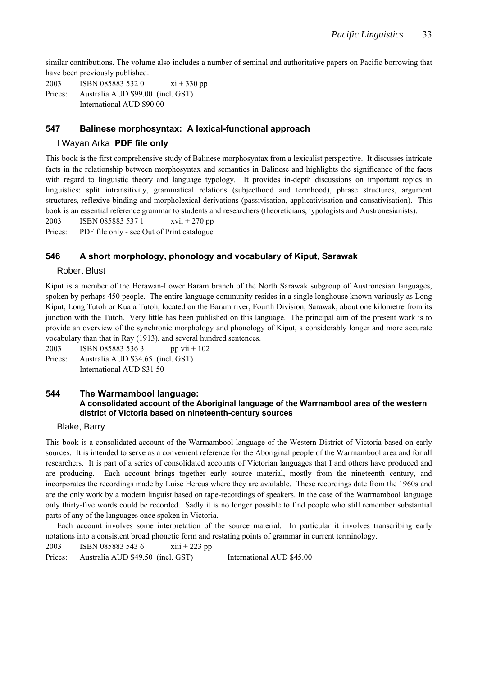similar contributions. The volume also includes a number of seminal and authoritative papers on Pacific borrowing that have been previously published.

2003 ISBN 085883 532 0 xi + 330 pp Prices: Australia AUD \$99.00 (incl. GST) International AUD \$90.00

#### **547 Balinese morphosyntax: A lexical-functional approach**

#### I Wayan Arka **PDF file only**

This book is the first comprehensive study of Balinese morphosyntax from a lexicalist perspective. It discusses intricate facts in the relationship between morphosyntax and semantics in Balinese and highlights the significance of the facts with regard to linguistic theory and language typology. It provides in-depth discussions on important topics in linguistics: split intransitivity, grammatical relations (subjecthood and termhood), phrase structures, argument structures, reflexive binding and morpholexical derivations (passivisation, applicativisation and causativisation). This book is an essential reference grammar to students and researchers (theoreticians, typologists and Austronesianists). 2003 ISBN 085883 537 1 xvii + 270 pp

Prices: PDF file only - see Out of Print catalogue

#### **546 A short morphology, phonology and vocabulary of Kiput, Sarawak**

#### Robert Blust

Kiput is a member of the Berawan-Lower Baram branch of the North Sarawak subgroup of Austronesian languages, spoken by perhaps 450 people. The entire language community resides in a single longhouse known variously as Long Kiput, Long Tutoh or Kuala Tutoh, located on the Baram river, Fourth Division, Sarawak, about one kilometre from its junction with the Tutoh. Very little has been published on this language. The principal aim of the present work is to provide an overview of the synchronic morphology and phonology of Kiput, a considerably longer and more accurate vocabulary than that in Ray (1913), and several hundred sentences.

2003 ISBN 085883 536 3 pp vii + 102

Prices: Australia AUD \$34.65 (incl. GST) International AUD \$31.50

#### **544 The Warrnambool language:**

#### **A consolidated account of the Aboriginal language of the Warrnambool area of the western district of Victoria based on nineteenth-century sources**

#### Blake, Barry

This book is a consolidated account of the Warrnambool language of the Western District of Victoria based on early sources. It is intended to serve as a convenient reference for the Aboriginal people of the Warrnambool area and for all researchers. It is part of a series of consolidated accounts of Victorian languages that I and others have produced and are producing. Each account brings together early source material, mostly from the nineteenth century, and incorporates the recordings made by Luise Hercus where they are available. These recordings date from the 1960s and are the only work by a modern linguist based on tape-recordings of speakers. In the case of the Warrnambool language only thirty-five words could be recorded. Sadly it is no longer possible to find people who still remember substantial parts of any of the languages once spoken in Victoria.

Each account involves some interpretation of the source material. In particular it involves transcribing early notations into a consistent broad phonetic form and restating points of grammar in current terminology.

2003 ISBN 085883 543 6 xiii + 223 pp Prices: Australia AUD \$49.50 (incl. GST) International AUD \$45.00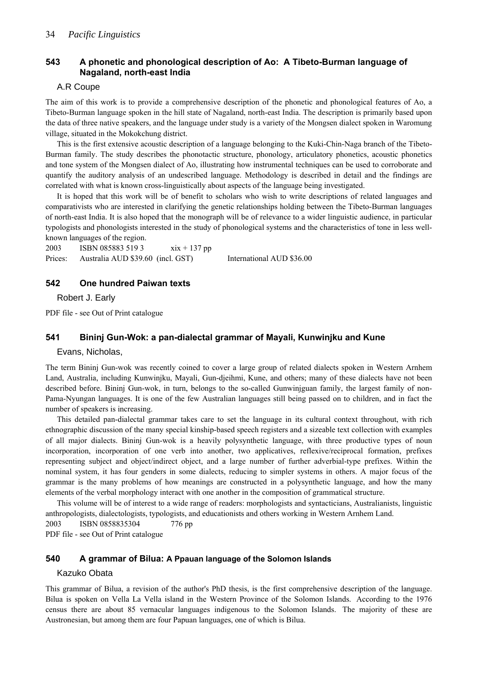#### **543 A phonetic and phonological description of Ao: A Tibeto-Burman language of Nagaland, north-east India**

#### A.R Coupe

The aim of this work is to provide a comprehensive description of the phonetic and phonological features of Ao, a Tibeto-Burman language spoken in the hill state of Nagaland, north-east India. The description is primarily based upon the data of three native speakers, and the language under study is a variety of the Mongsen dialect spoken in Waromung village, situated in the Mokokchung district.

This is the first extensive acoustic description of a language belonging to the Kuki-Chin-Naga branch of the Tibeto-Burman family. The study describes the phonotactic structure, phonology, articulatory phonetics, acoustic phonetics and tone system of the Mongsen dialect of Ao, illustrating how instrumental techniques can be used to corroborate and quantify the auditory analysis of an undescribed language. Methodology is described in detail and the findings are correlated with what is known cross-linguistically about aspects of the language being investigated.

It is hoped that this work will be of benefit to scholars who wish to write descriptions of related languages and comparativists who are interested in clarifying the genetic relationships holding between the Tibeto-Burman languages of north-east India. It is also hoped that the monograph will be of relevance to a wider linguistic audience, in particular typologists and phonologists interested in the study of phonological systems and the characteristics of tone in less wellknown languages of the region.

2003 ISBN 085883 519 3 xix + 137 pp Prices: Australia AUD \$39.60 (incl. GST) International AUD \$36.00

#### **542 One hundred Paiwan texts**

Robert J. Early

PDF file - see Out of Print catalogue

#### **541 Bininj Gun-Wok: a pan-dialectal grammar of Mayali, Kunwinjku and Kune**

#### Evans, Nicholas,

The term Bininj Gun-wok was recently coined to cover a large group of related dialects spoken in Western Arnhem Land, Australia, including Kunwinjku, Mayali, Gun-djeihmi, Kune, and others; many of these dialects have not been described before. Bininj Gun-wok, in turn, belongs to the so-called Gunwinjguan family, the largest family of non-Pama-Nyungan languages. It is one of the few Australian languages still being passed on to children, and in fact the number of speakers is increasing.

This detailed pan-dialectal grammar takes care to set the language in its cultural context throughout, with rich ethnographic discussion of the many special kinship-based speech registers and a sizeable text collection with examples of all major dialects. Bininj Gun-wok is a heavily polysynthetic language, with three productive types of noun incorporation, incorporation of one verb into another, two applicatives, reflexive/reciprocal formation, prefixes representing subject and object/indirect object, and a large number of further adverbial-type prefixes. Within the nominal system, it has four genders in some dialects, reducing to simpler systems in others. A major focus of the grammar is the many problems of how meanings are constructed in a polysynthetic language, and how the many elements of the verbal morphology interact with one another in the composition of grammatical structure.

This volume will be of interest to a wide range of readers: morphologists and syntacticians, Australianists, linguistic anthropologists, dialectologists, typologists, and educationists and others working in Western Arnhem Land.

2003 ISBN 0858835304 776 pp PDF file - see Out of Print catalogue

#### **540 A grammar of Bilua: A Ppauan language of the Solomon Islands**

#### Kazuko Obata

This grammar of Bilua, a revision of the author's PhD thesis, is the first comprehensive description of the language. Bilua is spoken on Vella La Vella island in the Western Province of the Solomon Islands. According to the 1976 census there are about 85 vernacular languages indigenous to the Solomon Islands. The majority of these are Austronesian, but among them are four Papuan languages, one of which is Bilua.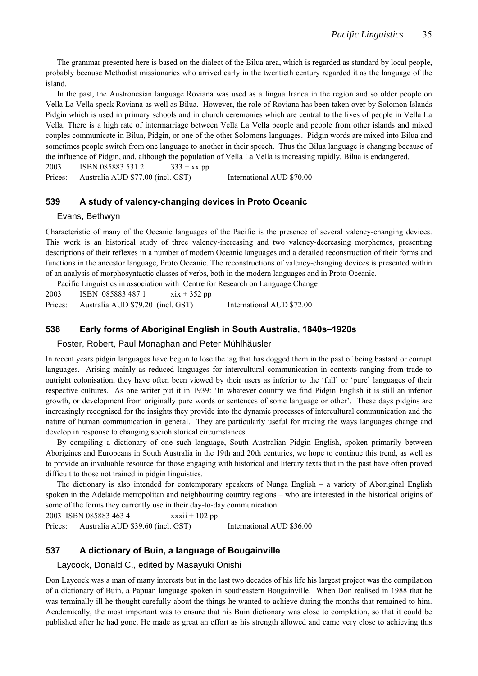The grammar presented here is based on the dialect of the Bilua area, which is regarded as standard by local people, probably because Methodist missionaries who arrived early in the twentieth century regarded it as the language of the island.

In the past, the Austronesian language Roviana was used as a lingua franca in the region and so older people on Vella La Vella speak Roviana as well as Bilua. However, the role of Roviana has been taken over by Solomon Islands Pidgin which is used in primary schools and in church ceremonies which are central to the lives of people in Vella La Vella. There is a high rate of intermarriage between Vella La Vella people and people from other islands and mixed couples communicate in Bilua, Pidgin, or one of the other Solomons languages. Pidgin words are mixed into Bilua and sometimes people switch from one language to another in their speech. Thus the Bilua language is changing because of the influence of Pidgin, and, although the population of Vella La Vella is increasing rapidly, Bilua is endangered.

2003 ISBN 085883 531 2  $333 + xx$  pp

Prices: Australia AUD \$77.00 (incl. GST) International AUD \$70.00

#### **539 A study of valency-changing devices in Proto Oceanic**

#### Evans, Bethwyn

Characteristic of many of the Oceanic languages of the Pacific is the presence of several valency-changing devices. This work is an historical study of three valency-increasing and two valency-decreasing morphemes, presenting descriptions of their reflexes in a number of modern Oceanic languages and a detailed reconstruction of their forms and functions in the ancestor language, Proto Oceanic. The reconstructions of valency-changing devices is presented within of an analysis of morphosyntactic classes of verbs, both in the modern languages and in Proto Oceanic.

Pacific Linguistics in association with Centre for Research on Language Change

2003 ISBN 085883 487 1 xix + 352 pp

Prices: Australia AUD \$79.20 (incl. GST) International AUD \$72.00

#### **538 Early forms of Aboriginal English in South Australia, 1840s–1920s**

#### Foster, Robert, Paul Monaghan and Peter Mühlhäusler

In recent years pidgin languages have begun to lose the tag that has dogged them in the past of being bastard or corrupt languages. Arising mainly as reduced languages for intercultural communication in contexts ranging from trade to outright colonisation, they have often been viewed by their users as inferior to the 'full' or 'pure' languages of their respective cultures. As one writer put it in 1939: 'In whatever country we find Pidgin English it is still an inferior growth, or development from originally pure words or sentences of some language or other'. These days pidgins are increasingly recognised for the insights they provide into the dynamic processes of intercultural communication and the nature of human communication in general. They are particularly useful for tracing the ways languages change and develop in response to changing sociohistorical circumstances.

By compiling a dictionary of one such language, South Australian Pidgin English, spoken primarily between Aborigines and Europeans in South Australia in the 19th and 20th centuries, we hope to continue this trend, as well as to provide an invaluable resource for those engaging with historical and literary texts that in the past have often proved difficult to those not trained in pidgin linguistics.

The dictionary is also intended for contemporary speakers of Nunga English – a variety of Aboriginal English spoken in the Adelaide metropolitan and neighbouring country regions – who are interested in the historical origins of some of the forms they currently use in their day-to-day communication.

2003 ISBN 085883 463 4 xxxii + 102 pp Prices: Australia AUD \$39.60 (incl. GST) International AUD \$36.00

#### **537 A dictionary of Buin, a language of Bougainville**

Laycock, Donald C., edited by Masayuki Onishi

Don Laycock was a man of many interests but in the last two decades of his life his largest project was the compilation of a dictionary of Buin, a Papuan language spoken in southeastern Bougainville. When Don realised in 1988 that he was terminally ill he thought carefully about the things he wanted to achieve during the months that remained to him. Academically, the most important was to ensure that his Buin dictionary was close to completion, so that it could be published after he had gone. He made as great an effort as his strength allowed and came very close to achieving this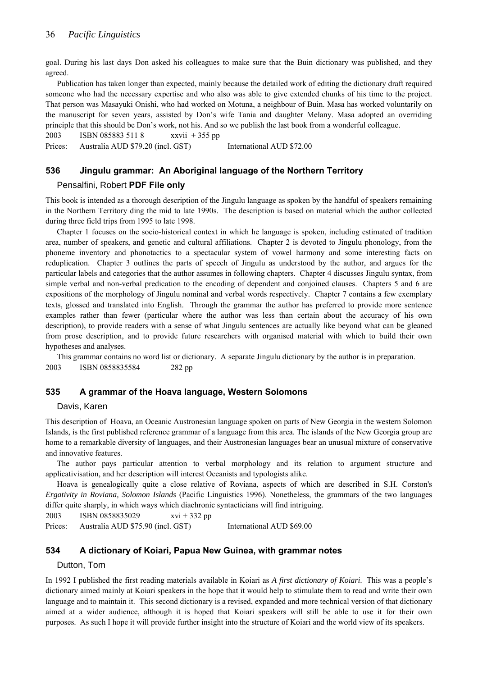goal. During his last days Don asked his colleagues to make sure that the Buin dictionary was published, and they agreed.

Publication has taken longer than expected, mainly because the detailed work of editing the dictionary draft required someone who had the necessary expertise and who also was able to give extended chunks of his time to the project. That person was Masayuki Onishi, who had worked on Motuna, a neighbour of Buin. Masa has worked voluntarily on the manuscript for seven years, assisted by Don's wife Tania and daughter Melany. Masa adopted an overriding principle that this should be Don's work, not his. And so we publish the last book from a wonderful colleague.

2003 ISBN 085883 511 8 xxvii + 355 pp Prices: Australia AUD \$79.20 (incl. GST) International AUD \$72.00

#### **536 Jingulu grammar: An Aboriginal language of the Northern Territory**

#### Pensalfini, Robert **PDF File only**

This book is intended as a thorough description of the Jingulu language as spoken by the handful of speakers remaining in the Northern Territory ding the mid to late 1990s. The description is based on material which the author collected during three field trips from 1995 to late 1998.

Chapter 1 focuses on the socio-historical context in which he language is spoken, including estimated of tradition area, number of speakers, and genetic and cultural affiliations. Chapter 2 is devoted to Jingulu phonology, from the phoneme inventory and phonotactics to a spectacular system of vowel harmony and some interesting facts on reduplication. Chapter 3 outlines the parts of speech of Jingulu as understood by the author, and argues for the particular labels and categories that the author assumes in following chapters. Chapter 4 discusses Jingulu syntax, from simple verbal and non-verbal predication to the encoding of dependent and conjoined clauses. Chapters 5 and 6 are expositions of the morphology of Jingulu nominal and verbal words respectively. Chapter 7 contains a few exemplary texts, glossed and translated into English. Through the grammar the author has preferred to provide more sentence examples rather than fewer (particular where the author was less than certain about the accuracy of his own description), to provide readers with a sense of what Jingulu sentences are actually like beyond what can be gleaned from prose description, and to provide future researchers with organised material with which to build their own hypotheses and analyses.

This grammar contains no word list or dictionary. A separate Jingulu dictionary by the author is in preparation. 2003 ISBN 0858835584 282 pp

#### **535 A grammar of the Hoava language, Western Solomons**

Davis, Karen

This description of Hoava, an Oceanic Austronesian language spoken on parts of New Georgia in the western Solomon Islands, is the first published reference grammar of a language from this area. The islands of the New Georgia group are home to a remarkable diversity of languages, and their Austronesian languages bear an unusual mixture of conservative and innovative features.

The author pays particular attention to verbal morphology and its relation to argument structure and applicativisation, and her description will interest Oceanists and typologists alike.

Hoava is genealogically quite a close relative of Roviana, aspects of which are described in S.H. Corston's *Ergativity in Roviana, Solomon Islands* (Pacific Linguistics 1996). Nonetheless, the grammars of the two languages differ quite sharply, in which ways which diachronic syntacticians will find intriguing.

```
2003 ISBN 0858835029 xvi + 332 pp
```
Prices: Australia AUD \$75.90 (incl. GST) International AUD \$69.00

#### **534 A dictionary of Koiari, Papua New Guinea, with grammar notes**

Dutton, Tom

In 1992 I published the first reading materials available in Koiari as *A first dictionary of Koiari*. This was a people's dictionary aimed mainly at Koiari speakers in the hope that it would help to stimulate them to read and write their own language and to maintain it. This second dictionary is a revised, expanded and more technical version of that dictionary aimed at a wider audience, although it is hoped that Koiari speakers will still be able to use it for their own purposes. As such I hope it will provide further insight into the structure of Koiari and the world view of its speakers.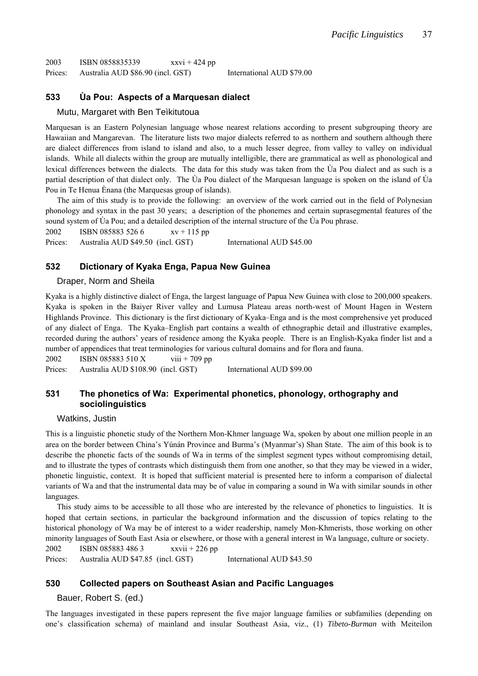2003 ISBN 0858835339 xxvi + 424 pp Prices: Australia AUD \$86.90 (incl. GST) International AUD \$79.00

#### **533 Ùa Pou: Aspects of a Marquesan dialect**

#### Mutu, Margaret with Ben Teìkitutoua

Marquesan is an Eastern Polynesian language whose nearest relations according to present subgrouping theory are Hawaiian and Mangarevan. The literature lists two major dialects referred to as northern and southern although there are dialect differences from island to island and also, to a much lesser degree, from valley to valley on individual islands. While all dialects within the group are mutually intelligible, there are grammatical as well as phonological and lexical differences between the dialects. The data for this study was taken from the Ùa Pou dialect and as such is a partial description of that dialect only. The Ùa Pou dialect of the Marquesan language is spoken on the island of Ùa Pou in Te Henua Ènana (the Marquesas group of islands).

The aim of this study is to provide the following: an overview of the work carried out in the field of Polynesian phonology and syntax in the past 30 years; a description of the phonemes and certain suprasegmental features of the sound system of Ùa Pou; and a detailed description of the internal structure of the Ùa Pou phrase.

2002 ISBN 085883 526 6 xv + 115 pp

Prices: Australia AUD \$49.50 (incl. GST) International AUD \$45.00

#### **532 Dictionary of Kyaka Enga, Papua New Guinea**

#### Draper, Norm and Sheila

Kyaka is a highly distinctive dialect of Enga, the largest language of Papua New Guinea with close to 200,000 speakers. Kyaka is spoken in the Baiyer River valley and Lumusa Plateau areas north-west of Mount Hagen in Western Highlands Province. This dictionary is the first dictionary of Kyaka–Enga and is the most comprehensive yet produced of any dialect of Enga. The Kyaka–English part contains a wealth of ethnographic detail and illustrative examples, recorded during the authors' years of residence among the Kyaka people. There is an English-Kyaka finder list and a number of appendices that treat terminologies for various cultural domains and for flora and fauna.

2002 ISBN 085883 510 X viii + 709 pp

Prices: Australia AUD \$108.90 (incl. GST) International AUD \$99.00

#### **531 The phonetics of Wa: Experimental phonetics, phonology, orthography and sociolinguistics**

#### Watkins, Justin

This is a linguistic phonetic study of the Northern Mon-Khmer language Wa, spoken by about one million people in an area on the border between China's Yúnán Province and Burma's (Myanmar's) Shan State. The aim of this book is to describe the phonetic facts of the sounds of Wa in terms of the simplest segment types without compromising detail, and to illustrate the types of contrasts which distinguish them from one another, so that they may be viewed in a wider, phonetic linguistic, context. It is hoped that sufficient material is presented here to inform a comparison of dialectal variants of Wa and that the instrumental data may be of value in comparing a sound in Wa with similar sounds in other languages.

This study aims to be accessible to all those who are interested by the relevance of phonetics to linguistics. It is hoped that certain sections, in particular the background information and the discussion of topics relating to the historical phonology of Wa may be of interest to a wider readership, namely Mon-Khmerists, those working on other minority languages of South East Asia or elsewhere, or those with a general interest in Wa language, culture or society.

2002 ISBN 085883 486 3 xxvii + 226 pp Prices: Australia AUD \$47.85 (incl. GST) International AUD \$43.50

#### **530 Collected papers on Southeast Asian and Pacific Languages**

#### Bauer, Robert S. (ed.)

The languages investigated in these papers represent the five major language families or subfamilies (depending on one's classification schema) of mainland and insular Southeast Asia, viz., (1) *Tibeto-Burman* with Meiteilon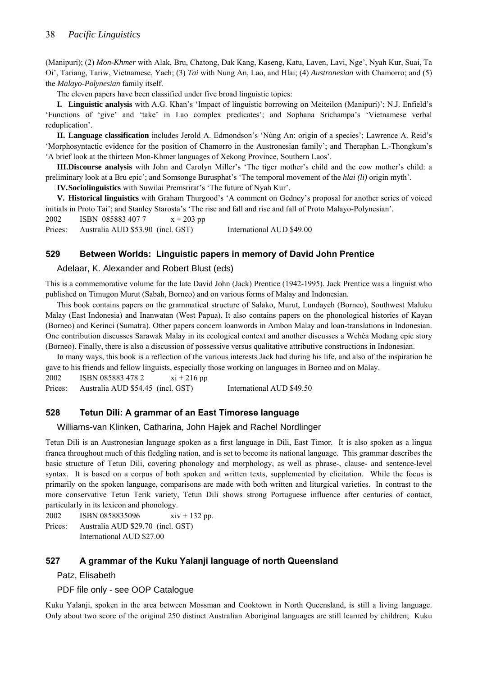(Manipuri); (2) *Mon-Khmer* with Alak, Bru, Chatong, Dak Kang, Kaseng, Katu, Laven, Lavi, Nge', Nyah Kur, Suai, Ta Oi', Tariang, Tariw, Vietnamese, Yaeh; (3) *Tai* with Nung An, Lao, and Hlai; (4) *Austronesian* with Chamorro; and (5) the *Malayo-Polynesian* family itself.

The eleven papers have been classified under five broad linguistic topics:

**I. Linguistic analysis** with A.G. Khan's 'Impact of linguistic borrowing on Meiteilon (Manipuri)'; N.J. Enfield's 'Functions of 'give' and 'take' in Lao complex predicates'; and Sophana Srichampa's 'Vietnamese verbal reduplication'.

**II. Language classification** includes Jerold A. Edmondson's 'Nùng An: origin of a species'; Lawrence A. Reid's 'Morphosyntactic evidence for the position of Chamorro in the Austronesian family'; and Theraphan L.-Thongkum's 'A brief look at the thirteen Mon-Khmer languages of Xekong Province, Southern Laos'.

**III.Discourse analysis** with John and Carolyn Miller's 'The tiger mother's child and the cow mother's child: a preliminary look at a Bru epic'; and Somsonge Burusphat's 'The temporal movement of the *hlai (li)* origin myth'.

**IV. Sociolinguistics** with Suwilai Premsrirat's 'The future of Nyah Kur'.

**V. Historical linguistics** with Graham Thurgood's 'A comment on Gedney's proposal for another series of voiced initials in Proto Tai'; and Stanley Starosta's 'The rise and fall and rise and fall of Proto Malayo-Polynesian'. 2002 ISBN 085883 407 7 x + 203 pp Prices: Australia AUD \$53.90 (incl. GST) International AUD \$49.00

#### **529 Between Worlds: Linguistic papers in memory of David John Prentice**

Adelaar, K. Alexander and Robert Blust (eds)

This is a commemorative volume for the late David John (Jack) Prentice (1942-1995). Jack Prentice was a linguist who published on Timugon Murut (Sabah, Borneo) and on various forms of Malay and Indonesian.

This book contains papers on the grammatical structure of Salako, Murut, Lundayeh (Borneo), Southwest Maluku Malay (East Indonesia) and Inanwatan (West Papua). It also contains papers on the phonological histories of Kayan (Borneo) and Kerinci (Sumatra). Other papers concern loanwords in Ambon Malay and loan-translations in Indonesian. One contribution discusses Sarawak Malay in its ecological context and another discusses a Wehèa Modang epic story (Borneo). Finally, there is also a discussion of possessive versus qualitative attributive constructions in Indonesian.

In many ways, this book is a reflection of the various interests Jack had during his life, and also of the inspiration he gave to his friends and fellow linguists, especially those working on languages in Borneo and on Malay.

2002 ISBN 085883 478 2 xi + 216 pp

Prices: Australia AUD \$54.45 (incl. GST) International AUD \$49.50

#### **528 Tetun Dili: A grammar of an East Timorese language**

#### Williams-van Klinken, Catharina, John Hajek and Rachel Nordlinger

Tetun Dili is an Austronesian language spoken as a first language in Dili, East Timor. It is also spoken as a lingua franca throughout much of this fledgling nation, and is set to become its national language. This grammar describes the basic structure of Tetun Dili, covering phonology and morphology, as well as phrase-, clause- and sentence-level syntax. It is based on a corpus of both spoken and written texts, supplemented by elicitation. While the focus is primarily on the spoken language, comparisons are made with both written and liturgical varieties. In contrast to the more conservative Tetun Terik variety, Tetun Dili shows strong Portuguese influence after centuries of contact, particularly in its lexicon and phonology.

2002 ISBN 0858835096 xiv + 132 pp.

Prices: Australia AUD \$29.70 (incl. GST) International AUD \$27.00

#### **527 A grammar of the Kuku Yalanji language of north Queensland**

Patz, Elisabeth

PDF file only - see OOP Catalogue

Kuku Yalanji, spoken in the area between Mossman and Cooktown in North Queensland, is still a living language. Only about two score of the original 250 distinct Australian Aboriginal languages are still learned by children; Kuku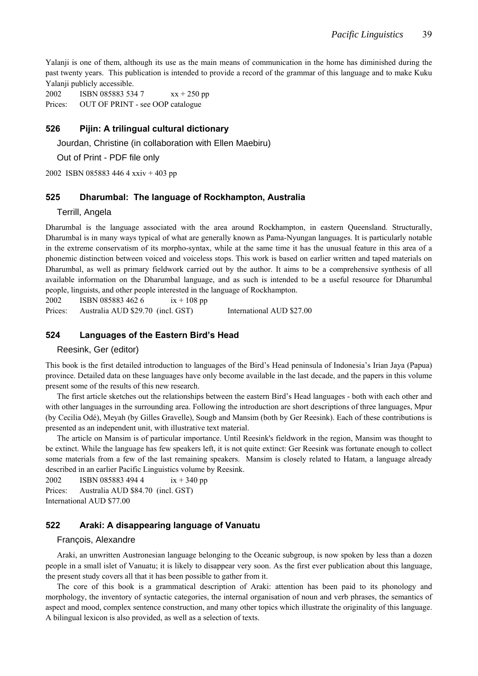Yalanji is one of them, although its use as the main means of communication in the home has diminished during the past twenty years. This publication is intended to provide a record of the grammar of this language and to make Kuku Yalanji publicly accessible.

2002 ISBN 085883 534 7 xx + 250 pp Prices: OUT OF PRINT - see OOP catalogue

#### **526 Pijin: A trilingual cultural dictionary**

Jourdan, Christine (in collaboration with Ellen Maebiru)

Out of Print - PDF file only

2002 ISBN 085883 446 4 xxiv + 403 pp

#### **525 Dharumbal: The language of Rockhampton, Australia**

#### Terrill, Angela

Dharumbal is the language associated with the area around Rockhampton, in eastern Queensland. Structurally, Dharumbal is in many ways typical of what are generally known as Pama-Nyungan languages. It is particularly notable in the extreme conservatism of its morpho-syntax, while at the same time it has the unusual feature in this area of a phonemic distinction between voiced and voiceless stops. This work is based on earlier written and taped materials on Dharumbal, as well as primary fieldwork carried out by the author. It aims to be a comprehensive synthesis of all available information on the Dharumbal language, and as such is intended to be a useful resource for Dharumbal people, linguists, and other people interested in the language of Rockhampton.

2002 ISBN 085883 462 6 ix + 108 pp Prices: Australia AUD \$29.70 (incl. GST) International AUD \$27.00

#### **524 Languages of the Eastern Bird's Head**

#### Reesink, Ger (editor)

This book is the first detailed introduction to languages of the Bird's Head peninsula of Indonesia's Irian Jaya (Papua) province. Detailed data on these languages have only become available in the last decade, and the papers in this volume present some of the results of this new research.

The first article sketches out the relationships between the eastern Bird's Head languages - both with each other and with other languages in the surrounding area. Following the introduction are short descriptions of three languages, Mpur (by Cecilia Odé), Meyah (by Gilles Gravelle), Sougb and Mansim (both by Ger Reesink). Each of these contributions is presented as an independent unit, with illustrative text material.

The article on Mansim is of particular importance. Until Reesink's fieldwork in the region, Mansim was thought to be extinct. While the language has few speakers left, it is not quite extinct: Ger Reesink was fortunate enough to collect some materials from a few of the last remaining speakers. Mansim is closely related to Hatam, a language already described in an earlier Pacific Linguistics volume by Reesink.

2002 ISBN 0858834944  $ix + 340$  pp Prices: Australia AUD \$84.70 (incl. GST) International AUD \$77.00

#### **522 Araki: A disappearing language of Vanuatu**

#### François, Alexandre

Araki, an unwritten Austronesian language belonging to the Oceanic subgroup, is now spoken by less than a dozen people in a small islet of Vanuatu; it is likely to disappear very soon. As the first ever publication about this language, the present study covers all that it has been possible to gather from it.

The core of this book is a grammatical description of Araki: attention has been paid to its phonology and morphology, the inventory of syntactic categories, the internal organisation of noun and verb phrases, the semantics of aspect and mood, complex sentence construction, and many other topics which illustrate the originality of this language. A bilingual lexicon is also provided, as well as a selection of texts.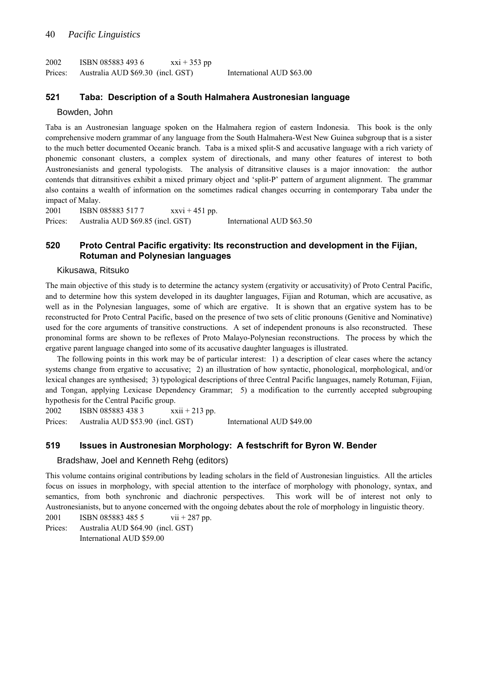2002 ISBN 085883 493 6 xxi + 353 pp Prices: Australia AUD \$69.30 (incl. GST) International AUD \$63.00

#### **521 Taba: Description of a South Halmahera Austronesian language**

#### Bowden, John

Taba is an Austronesian language spoken on the Halmahera region of eastern Indonesia. This book is the only comprehensive modern grammar of any language from the South Halmahera-West New Guinea subgroup that is a sister to the much better documented Oceanic branch. Taba is a mixed split-S and accusative language with a rich variety of phonemic consonant clusters, a complex system of directionals, and many other features of interest to both Austronesianists and general typologists. The analysis of ditransitive clauses is a major innovation: the author contends that ditransitives exhibit a mixed primary object and 'split-P' pattern of argument alignment. The grammar also contains a wealth of information on the sometimes radical changes occurring in contemporary Taba under the impact of Malay.

2001 **ISBN 085883 5177** xxvi + 451 pp. Prices: Australia AUD \$69.85 (incl. GST) International AUD \$63.50

#### **520 Proto Central Pacific ergativity: Its reconstruction and development in the Fijian, Rotuman and Polynesian languages**

#### Kikusawa, Ritsuko

The main objective of this study is to determine the actancy system (ergativity or accusativity) of Proto Central Pacific, and to determine how this system developed in its daughter languages, Fijian and Rotuman, which are accusative, as well as in the Polynesian languages, some of which are ergative. It is shown that an ergative system has to be reconstructed for Proto Central Pacific, based on the presence of two sets of clitic pronouns (Genitive and Nominative) used for the core arguments of transitive constructions. A set of independent pronouns is also reconstructed. These pronominal forms are shown to be reflexes of Proto Malayo-Polynesian reconstructions. The process by which the ergative parent language changed into some of its accusative daughter languages is illustrated.

The following points in this work may be of particular interest: 1) a description of clear cases where the actancy systems change from ergative to accusative; 2) an illustration of how syntactic, phonological, morphological, and/or lexical changes are synthesised; 3) typological descriptions of three Central Pacific languages, namely Rotuman, Fijian, and Tongan, applying Lexicase Dependency Grammar; 5) a modification to the currently accepted subgrouping hypothesis for the Central Pacific group.

2002 ISBN 085883 438 3 xxii + 213 pp. Prices: Australia AUD \$53.90 (incl. GST) International AUD \$49.00

#### **519 Issues in Austronesian Morphology: A festschrift for Byron W. Bender**

#### Bradshaw, Joel and Kenneth Rehg (editors)

This volume contains original contributions by leading scholars in the field of Austronesian linguistics. All the articles focus on issues in morphology, with special attention to the interface of morphology with phonology, syntax, and semantics, from both synchronic and diachronic perspectives. This work will be of interest not only to Austronesianists, but to anyone concerned with the ongoing debates about the role of morphology in linguistic theory. 2001 **ISBN 085883 485 5** vii + 287 pp.

Prices: Australia AUD \$64.90 (incl. GST) International AUD \$59.00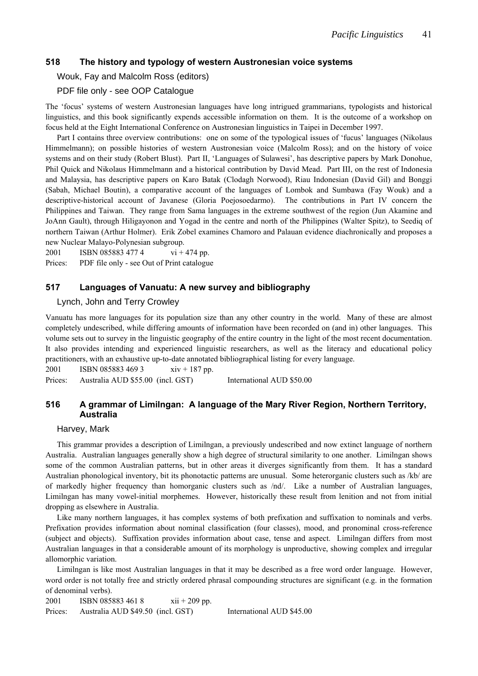#### **518 The history and typology of western Austronesian voice systems**

Wouk, Fay and Malcolm Ross (editors)

#### PDF file only - see OOP Catalogue

The 'focus' systems of western Austronesian languages have long intrigued grammarians, typologists and historical linguistics, and this book significantly expends accessible information on them. It is the outcome of a workshop on focus held at the Eight International Conference on Austronesian linguistics in Taipei in December 1997.

Part I contains three overview contributions: one on some of the typological issues of 'fucus' languages (Nikolaus Himmelmann); on possible histories of western Austronesian voice (Malcolm Ross); and on the history of voice systems and on their study (Robert Blust). Part II, 'Languages of Sulawesi', has descriptive papers by Mark Donohue, Phil Quick and Nikolaus Himmelmann and a historical contribution by David Mead. Part III, on the rest of Indonesia and Malaysia, has descriptive papers on Karo Batak (Clodagh Norwood), Riau Indonesian (David Gil) and Bonggi (Sabah, Michael Boutin), a comparative account of the languages of Lombok and Sumbawa (Fay Wouk) and a descriptive-historical account of Javanese (Gloria Poejosoedarmo). The contributions in Part IV concern the Philippines and Taiwan. They range from Sama languages in the extreme southwest of the region (Jun Akamine and JoAnn Gault), through Hiligayonon and Yogad in the centre and north of the Philippines (Walter Spitz), to Seediq of northern Taiwan (Arthur Holmer). Erik Zobel examines Chamoro and Palauan evidence diachronically and proposes a new Nuclear Malayo-Polynesian subgroup.

2001 **ISBN 085883 477 4** vi + 474 pp.

Prices: PDF file only - see Out of Print catalogue

#### **517 Languages of Vanuatu: A new survey and bibliography**

#### Lynch, John and Terry Crowley

Vanuatu has more languages for its population size than any other country in the world. Many of these are almost completely undescribed, while differing amounts of information have been recorded on (and in) other languages. This volume sets out to survey in the linguistic geography of the entire country in the light of the most recent documentation. It also provides intending and experienced linguistic researchers, as well as the literacy and educational policy practitioners, with an exhaustive up-to-date annotated bibliographical listing for every language.

2001 ISBN 085883 469 3 xiv + 187 pp.

Prices: Australia AUD \$55.00 (incl. GST) International AUD \$50.00

#### **516 A grammar of Limilngan: A language of the Mary River Region, Northern Territory, Australia**

#### Harvey, Mark

This grammar provides a description of Limilngan, a previously undescribed and now extinct language of northern Australia. Australian languages generally show a high degree of structural similarity to one another. Limilngan shows some of the common Australian patterns, but in other areas it diverges significantly from them. It has a standard Australian phonological inventory, bit its phonotactic patterns are unusual. Some heterorganic clusters such as /kb/ are of markedly higher frequency than homorganic clusters such as /nd/. Like a number of Australian languages, Limilngan has many vowel-initial morphemes. However, historically these result from lenition and not from initial dropping as elsewhere in Australia.

Like many northern languages, it has complex systems of both prefixation and suffixation to nominals and verbs. Prefixation provides information about nominal classification (four classes), mood, and pronominal cross-reference (subject and objects). Suffixation provides information about case, tense and aspect. Limilngan differs from most Australian languages in that a considerable amount of its morphology is unproductive, showing complex and irregular allomorphic variation.

Limilngan is like most Australian languages in that it may be described as a free word order language. However, word order is not totally free and strictly ordered phrasal compounding structures are significant (e.g. in the formation of denominal verbs).

2001 ISBN 085883 461 8 xii + 209 pp. Prices: Australia AUD \$49.50 (incl. GST) International AUD \$45.00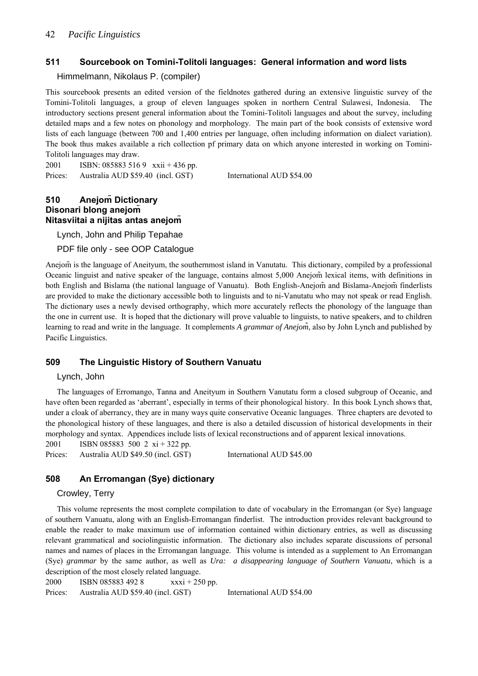#### **511 Sourcebook on Tomini-Tolitoli languages: General information and word lists**

Himmelmann, Nikolaus P. (compiler)

This sourcebook presents an edited version of the fieldnotes gathered during an extensive linguistic survey of the Tomini-Tolitoli languages, a group of eleven languages spoken in northern Central Sulawesi, Indonesia. The introductory sections present general information about the Tomini-Tolitoli languages and about the survey, including detailed maps and a few notes on phonology and morphology. The main part of the book consists of extensive word lists of each language (between 700 and 1,400 entries per language, often including information on dialect variation). The book thus makes available a rich collection pf primary data on which anyone interested in working on Tomini-Tolitoli languages may draw.

2001 ISBN: 085883 516 9 xxii + 436 pp. Prices: Australia AUD \$59.40 (incl. GST) International AUD \$54.00

#### **510 Anejom̃ Dictionary Disonari blong anejom̃ Nitasviitai a nijitas antas anejom̃**

Lynch, John and Philip Tepahae

PDF file only - see OOP Catalogue

Anejom̃ is the language of Aneityum, the southernmost island in Vanutatu. This dictionary, compiled by a professional Oceanic linguist and native speaker of the language, contains almost 5,000 Anejom̃ lexical items, with definitions in both English and Bislama (the national language of Vanuatu). Both English-Anejom̃ and Bislama-Anejom̃ finderlists are provided to make the dictionary accessible both to linguists and to ni-Vanutatu who may not speak or read English. The dictionary uses a newly devised orthography, which more accurately reflects the phonology of the language than the one in current use. It is hoped that the dictionary will prove valuable to linguists, to native speakers, and to children learning to read and write in the language. It complements *A grammar of Anejom*̃, also by John Lynch and published by Pacific Linguistics.

#### **509 The Linguistic History of Southern Vanuatu**

#### Lynch, John

The languages of Erromango, Tanna and Aneityum in Southern Vanutatu form a closed subgroup of Oceanic, and have often been regarded as 'aberrant', especially in terms of their phonological history. In this book Lynch shows that, under a cloak of aberrancy, they are in many ways quite conservative Oceanic languages. Three chapters are devoted to the phonological history of these languages, and there is also a detailed discussion of historical developments in their morphology and syntax. Appendices include lists of lexical reconstructions and of apparent lexical innovations. 2001 ISBN 085883 500 2 xi + 322 pp.

Prices: Australia AUD \$49.50 (incl. GST) International AUD \$45.00

#### **508 An Erromangan (Sye) dictionary**

#### Crowley, Terry

This volume represents the most complete compilation to date of vocabulary in the Erromangan (or Sye) language of southern Vanuatu, along with an English-Erromangan finderlist. The introduction provides relevant background to enable the reader to make maximum use of information contained within dictionary entries, as well as discussing relevant grammatical and sociolinguistic information. The dictionary also includes separate discussions of personal names and names of places in the Erromangan language. This volume is intended as a supplement to An Erromangan (Sye) *grammar* by the same author, as well as *Ura: a disappearing language of Southern Vanuatu*, which is a description of the most closely related language.

2000 ISBN 085883 492 8 xxxi + 250 pp. Prices: Australia AUD \$59.40 (incl. GST) International AUD \$54.00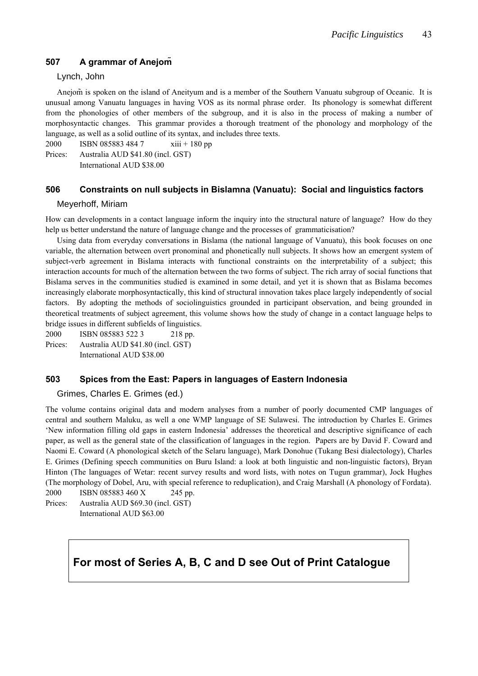#### **507 A grammar of Anejom̃**

#### Lynch, John

Anejom̃ is spoken on the island of Aneityum and is a member of the Southern Vanuatu subgroup of Oceanic. It is unusual among Vanuatu languages in having VOS as its normal phrase order. Its phonology is somewhat different from the phonologies of other members of the subgroup, and it is also in the process of making a number of morphosyntactic changes. This grammar provides a thorough treatment of the phonology and morphology of the language, as well as a solid outline of its syntax, and includes three texts.

2000 ISBN 085883 484 7 xiii + 180 pp

```
Prices: Australia AUD $41.80 (incl. GST) 
           International AUD $38.00
```
#### **506 Constraints on null subjects in Bislamna (Vanuatu): Social and linguistics factors**

#### Meyerhoff, Miriam

How can developments in a contact language inform the inquiry into the structural nature of language? How do they help us better understand the nature of language change and the processes of grammaticisation?

Using data from everyday conversations in Bislama (the national language of Vanuatu), this book focuses on one variable, the alternation between overt pronominal and phonetically null subjects. It shows how an emergent system of subject-verb agreement in Bislama interacts with functional constraints on the interpretability of a subject; this interaction accounts for much of the alternation between the two forms of subject. The rich array of social functions that Bislama serves in the communities studied is examined in some detail, and yet it is shown that as Bislama becomes increasingly elaborate morphosyntactically, this kind of structural innovation takes place largely independently of social factors. By adopting the methods of sociolinguistics grounded in participant observation, and being grounded in theoretical treatments of subject agreement, this volume shows how the study of change in a contact language helps to bridge issues in different subfields of linguistics.

2000 ISBN 085883 522 3 218 pp. Prices: Australia AUD \$41.80 (incl. GST) International AUD \$38.00

#### **503 Spices from the East: Papers in languages of Eastern Indonesia**

#### Grimes, Charles E. Grimes (ed.)

The volume contains original data and modern analyses from a number of poorly documented CMP languages of central and southern Maluku, as well a one WMP language of SE Sulawesi. The introduction by Charles E. Grimes 'New information filling old gaps in eastern Indonesia' addresses the theoretical and descriptive significance of each paper, as well as the general state of the classification of languages in the region. Papers are by David F. Coward and Naomi E. Coward (A phonological sketch of the Selaru language), Mark Donohue (Tukang Besi dialectology), Charles E. Grimes (Defining speech communities on Buru Island: a look at both linguistic and non-linguistic factors), Bryan Hinton (The languages of Wetar: recent survey results and word lists, with notes on Tugun grammar), Jock Hughes (The morphology of Dobel, Aru, with special reference to reduplication), and Craig Marshall (A phonology of Fordata). 2000 ISBN 085883 460 X 245 pp.

Prices: Australia AUD \$69.30 (incl. GST) International AUD \$63.00

### **For most of Series A, B, C and D see Out of Print Catalogue**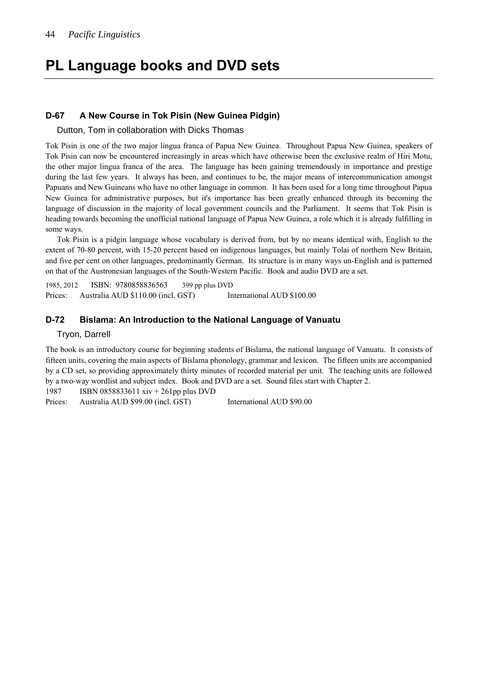# **PL Language books and DVD sets**

#### **D-67 A New Course in Tok Pisin (New Guinea Pidgin)**

Dutton, Tom in collaboration with Dicks Thomas

Tok Pisin is one of the two major lingua franca of Papua New Guinea. Throughout Papua New Guinea, speakers of Tok Pisin can now be encountered increasingly in areas which have otherwise been the exclusive realm of Hiri Motu, the other major lingua franca of the area. The language has been gaining tremendously in importance and prestige during the last few years. It always has been, and continues to be, the major means of intercommunication amongst Papuans and New Guineans who have no other language in common. It has been used for a long time throughout Papua New Guinea for administrative purposes, but it's importance has been greatly enhanced through its becoming the language of discussion in the majority of local government councils and the Parliament. It seems that Tok Pisin is heading towards becoming the unofficial national language of Papua New Guinea, a role which it is already fulfilling in some ways.

Tok Pisin is a pidgin language whose vocabulary is derived from, but by no means identical with, English to the extent of 70-80 percent, with 15-20 percent based on indigenous languages, but mainly Tolai of northern New Britain, and five per cent on other languages, predominantly German. Its structure is in many ways un-English and is patterned on that of the Austronesian languages of the South-Western Pacific. Book and audio DVD are a set.

1985, 2012 ISBN: 9780858836563 399 pp plus DVD Prices: Australia AUD \$110.00 (incl. GST) International AUD \$100.00

#### **D-72 Bislama: An Introduction to the National Language of Vanuatu**

#### Tryon, Darrell

The book is an introductory course for beginning students of Bislama, the national language of Vanuatu. It consists of fifteen units, covering the main aspects of Bislama phonology, grammar and lexicon. The fifteen units are accompanied by a CD set, so providing approximately thirty minutes of recorded material per unit. The teaching units are followed by a two-way wordlist and subject index. Book and DVD are a set. Sound files start with Chapter 2.

1987 ISBN 0858833611 xiv + 261pp plus DVD

Prices: Australia AUD \$99.00 (incl. GST) International AUD \$90.00